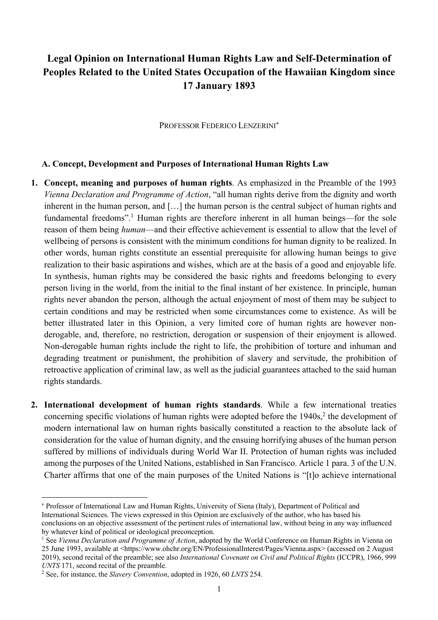# **Legal Opinion on International Human Rights Law and Self-Determination of Peoples Related to the United States Occupation of the Hawaiian Kingdom since 17 January 1893**

PROFESSOR FEDERICO LENZERINI\*

#### **A. Concept, Development and Purposes of International Human Rights Law**

- **1. Concept, meaning and purposes of human rights**. As emphasized in the Preamble of the 1993 *Vienna Declaration and Programme of Action*, "all human rights derive from the dignity and worth inherent in the human person, and […] the human person is the central subject of human rights and fundamental freedoms".<sup>1</sup> Human rights are therefore inherent in all human beings—for the sole reason of them being *human*—and their effective achievement is essential to allow that the level of wellbeing of persons is consistent with the minimum conditions for human dignity to be realized. In other words, human rights constitute an essential prerequisite for allowing human beings to give realization to their basic aspirations and wishes, which are at the basis of a good and enjoyable life. In synthesis, human rights may be considered the basic rights and freedoms belonging to every person living in the world, from the initial to the final instant of her existence. In principle, human rights never abandon the person, although the actual enjoyment of most of them may be subject to certain conditions and may be restricted when some circumstances come to existence. As will be better illustrated later in this Opinion, a very limited core of human rights are however nonderogable, and, therefore, no restriction, derogation or suspension of their enjoyment is allowed. Non-derogable human rights include the right to life, the prohibition of torture and inhuman and degrading treatment or punishment, the prohibition of slavery and servitude, the prohibition of retroactive application of criminal law, as well as the judicial guarantees attached to the said human rights standards.
- **2. International development of human rights standards**. While a few international treaties concerning specific violations of human rights were adopted before the 1940s,<sup>2</sup> the development of modern international law on human rights basically constituted a reaction to the absolute lack of consideration for the value of human dignity, and the ensuing horrifying abuses of the human person suffered by millions of individuals during World War II. Protection of human rights was included among the purposes of the United Nations, established in San Francisco. Article 1 para. 3 of the U.N. Charter affirms that one of the main purposes of the United Nations is "[t]o achieve international

<sup>\*</sup> Professor of International Law and Human Rights, University of Siena (Italy), Department of Political and International Sciences. The views expressed in this Opinion are exclusively of the author, who has based his conclusions on an objective assessment of the pertinent rules of international law, without being in any way influenced by whatever kind of political or ideological preconception.

<sup>&</sup>lt;sup>1</sup> See *Vienna Declaration and Programme of Action*, adopted by the World Conference on Human Rights in Vienna on 25 June 1993, available at <https://www.ohchr.org/EN/ProfessionalInterest/Pages/Vienna.aspx> (accessed on 2 August 2019), second recital of the preamble; see also *International Covenant on Civil and Political Rights* (ICCPR), 1966, 999 *UNTS* 171, second recital of the preamble.

<sup>2</sup> See, for instance, the *Slavery Convention*, adopted in 1926, 60 *LNTS* 254.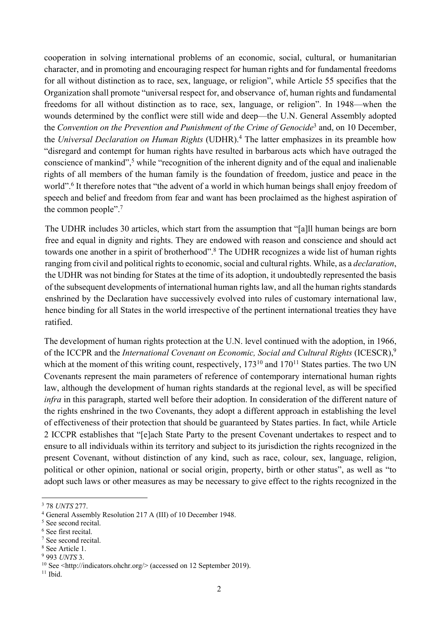cooperation in solving international problems of an economic, social, cultural, or humanitarian character, and in promoting and encouraging respect for human rights and for fundamental freedoms for all without distinction as to race, sex, language, or religion", while Article 55 specifies that the Organization shall promote "universal respect for, and observance of, human rights and fundamental freedoms for all without distinction as to race, sex, language, or religion". In 1948—when the wounds determined by the conflict were still wide and deep—the U.N. General Assembly adopted the *Convention on the Prevention and Punishment of the Crime of Genocide*<sup>3</sup> and, on 10 December, the *Universal Declaration on Human Rights* (UDHR). <sup>4</sup> The latter emphasizes in its preamble how "disregard and contempt for human rights have resulted in barbarous acts which have outraged the conscience of mankind",<sup>5</sup> while "recognition of the inherent dignity and of the equal and inalienable rights of all members of the human family is the foundation of freedom, justice and peace in the world".<sup>6</sup> It therefore notes that "the advent of a world in which human beings shall enjoy freedom of speech and belief and freedom from fear and want has been proclaimed as the highest aspiration of the common people".7

The UDHR includes 30 articles, which start from the assumption that "[a]ll human beings are born free and equal in dignity and rights. They are endowed with reason and conscience and should act towards one another in a spirit of brotherhood". <sup>8</sup> The UDHR recognizes a wide list of human rights ranging from civil and political rights to economic, social and cultural rights. While, as a *declaration*, the UDHR was not binding for States at the time of its adoption, it undoubtedly represented the basis of the subsequent developments of international human rights law, and all the human rights standards enshrined by the Declaration have successively evolved into rules of customary international law, hence binding for all States in the world irrespective of the pertinent international treaties they have ratified.

The development of human rights protection at the U.N. level continued with the adoption, in 1966, of the ICCPR and the *International Covenant on Economic, Social and Cultural Rights* (ICESCR), 9 which at the moment of this writing count, respectively,  $173^{10}$  and  $170^{11}$  States parties. The two UN Covenants represent the main parameters of reference of contemporary international human rights law, although the development of human rights standards at the regional level, as will be specified *infra* in this paragraph, started well before their adoption. In consideration of the different nature of the rights enshrined in the two Covenants, they adopt a different approach in establishing the level of effectiveness of their protection that should be guaranteed by States parties. In fact, while Article 2 ICCPR establishes that "[e]ach State Party to the present Covenant undertakes to respect and to ensure to all individuals within its territory and subject to its jurisdiction the rights recognized in the present Covenant, without distinction of any kind, such as race, colour, sex, language, religion, political or other opinion, national or social origin, property, birth or other status", as well as "to adopt such laws or other measures as may be necessary to give effect to the rights recognized in the

<sup>3</sup> 78 *UNTS* 277.

<sup>4</sup> General Assembly Resolution 217 A (III) of 10 December 1948.

<sup>&</sup>lt;sup>5</sup> See second recital.

<sup>6</sup> See first recital.

<sup>7</sup> See second recital.

<sup>8</sup> See Article 1.

<sup>9</sup> 993 *UNTS* 3.

<sup>&</sup>lt;sup>10</sup> See <http://indicators.ohchr.org/> (accessed on 12 September 2019).

 $11$  Ibid.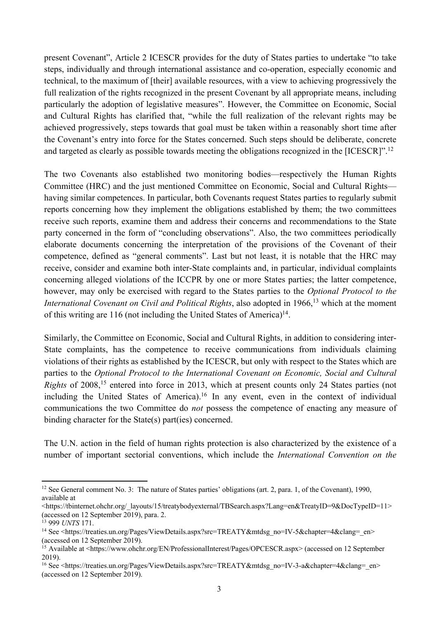present Covenant", Article 2 ICESCR provides for the duty of States parties to undertake "to take steps, individually and through international assistance and co-operation, especially economic and technical, to the maximum of [their] available resources, with a view to achieving progressively the full realization of the rights recognized in the present Covenant by all appropriate means, including particularly the adoption of legislative measures". However, the Committee on Economic, Social and Cultural Rights has clarified that, "while the full realization of the relevant rights may be achieved progressively, steps towards that goal must be taken within a reasonably short time after the Covenant's entry into force for the States concerned. Such steps should be deliberate, concrete and targeted as clearly as possible towards meeting the obligations recognized in the [ICESCR]".12

The two Covenants also established two monitoring bodies—respectively the Human Rights Committee (HRC) and the just mentioned Committee on Economic, Social and Cultural Rights having similar competences. In particular, both Covenants request States parties to regularly submit reports concerning how they implement the obligations established by them; the two committees receive such reports, examine them and address their concerns and recommendations to the State party concerned in the form of "concluding observations". Also, the two committees periodically elaborate documents concerning the interpretation of the provisions of the Covenant of their competence, defined as "general comments". Last but not least, it is notable that the HRC may receive, consider and examine both inter-State complaints and, in particular, individual complaints concerning alleged violations of the ICCPR by one or more States parties; the latter competence, however, may only be exercised with regard to the States parties to the *Optional Protocol to the International Covenant on Civil and Political Rights*, also adopted in 1966,<sup>13</sup> which at the moment of this writing are 116 (not including the United States of America)14.

Similarly, the Committee on Economic, Social and Cultural Rights, in addition to considering inter-State complaints, has the competence to receive communications from individuals claiming violations of their rights as established by the ICESCR, but only with respect to the States which are parties to the *Optional Protocol to the International Covenant on Economic, Social and Cultural Rights* of 2008,<sup>15</sup> entered into force in 2013, which at present counts only 24 States parties (not including the United States of America).<sup>16</sup> In any event, even in the context of individual communications the two Committee do *not* possess the competence of enacting any measure of binding character for the State(s) part(ies) concerned.

The U.N. action in the field of human rights protection is also characterized by the existence of a number of important sectorial conventions, which include the *International Convention on the* 

<sup>&</sup>lt;sup>12</sup> See General comment No. 3: The nature of States parties' obligations (art. 2, para. 1, of the Covenant), 1990, available at

<sup>&</sup>lt;https://tbinternet.ohchr.org/\_layouts/15/treatybodyexternal/TBSearch.aspx?Lang=en&TreatyID=9&DocTypeID=11> (accessed on 12 September 2019), para. 2.

<sup>13</sup> 999 *UNTS* 171.

<sup>&</sup>lt;sup>14</sup> See <https://treaties.un.org/Pages/ViewDetails.aspx?src=TREATY&mtdsg\_no=IV-5&chapter=4&clang=\_en> (accessed on 12 September 2019).

<sup>15</sup> Available at <https://www.ohchr.org/EN/ProfessionalInterest/Pages/OPCESCR.aspx> (accessed on 12 September 2019).

<sup>16</sup> See <https://treaties.un.org/Pages/ViewDetails.aspx?src=TREATY&mtdsg\_no=IV-3-a&chapter=4&clang=\_en> (accessed on 12 September 2019).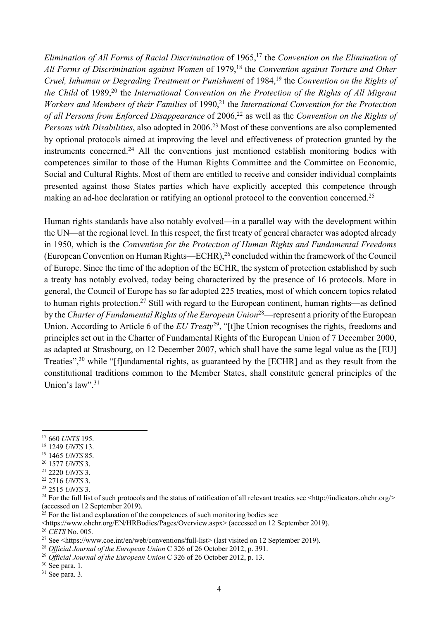*Elimination of All Forms of Racial Discrimination* of 1965,<sup>17</sup> the *Convention on the Elimination of All Forms of Discrimination against Women* of 1979,18 the *Convention against Torture and Other Cruel, Inhuman or Degrading Treatment or Punishment* of 1984,<sup>19</sup> the *Convention on the Rights of the Child* of 1989,<sup>20</sup> the *International Convention on the Protection of the Rights of All Migrant Workers and Members of their Families* of 1990,<sup>21</sup> the *International Convention for the Protection of all Persons from Enforced Disappearance* of 2006,<sup>22</sup> as well as the *Convention on the Rights of Persons with Disabilities*, also adopted in 2006.<sup>23</sup> Most of these conventions are also complemented by optional protocols aimed at improving the level and effectiveness of protection granted by the instruments concerned.<sup>24</sup> All the conventions just mentioned establish monitoring bodies with competences similar to those of the Human Rights Committee and the Committee on Economic, Social and Cultural Rights. Most of them are entitled to receive and consider individual complaints presented against those States parties which have explicitly accepted this competence through making an ad-hoc declaration or ratifying an optional protocol to the convention concerned.<sup>25</sup>

Human rights standards have also notably evolved—in a parallel way with the development within the UN—at the regional level. In this respect, the first treaty of general character was adopted already in 1950, which is the *Convention for the Protection of Human Rights and Fundamental Freedoms* (European Convention on Human Rights—ECHR),26 concluded within the framework of the Council of Europe. Since the time of the adoption of the ECHR, the system of protection established by such a treaty has notably evolved, today being characterized by the presence of 16 protocols. More in general, the Council of Europe has so far adopted 225 treaties, most of which concern topics related to human rights protection.27 Still with regard to the European continent, human rights—as defined by the *Charter of Fundamental Rights of the European Union*28—represent a priority of the European Union. According to Article 6 of the *EU Treaty*<sup>29</sup>, "[t]he Union recognises the rights, freedoms and principles set out in the Charter of Fundamental Rights of the European Union of 7 December 2000, as adapted at Strasbourg, on 12 December 2007, which shall have the same legal value as the [EU] Treaties",<sup>30</sup> while "[f]undamental rights, as guaranteed by the [ECHR] and as they result from the constitutional traditions common to the Member States, shall constitute general principles of the Union's  $law$ ".<sup>31</sup>

<sup>19</sup> 1465 *UNTS* 85.

<sup>26</sup> *CETS* No. 005.

<sup>17</sup> 660 *UNTS* 195.

<sup>18</sup> 1249 *UNTS* 13.

<sup>20</sup> 1577 *UNTS* 3.

<sup>21</sup> 2220 *UNTS* 3.

<sup>22</sup> 2716 *UNTS* 3.

<sup>23</sup> 2515 *UNTS* 3.

<sup>&</sup>lt;sup>24</sup> For the full list of such protocols and the status of ratification of all relevant treaties see  $\text{~http://indicator.s.}$ ohchr.org/> (accessed on 12 September 2019).

 $^{25}$  For the list and explanation of the competences of such monitoring bodies see

<sup>&</sup>lt;https://www.ohchr.org/EN/HRBodies/Pages/Overview.aspx> (accessed on 12 September 2019).

<sup>&</sup>lt;sup>27</sup> See <https://www.coe.int/en/web/conventions/full-list> (last visited on 12 September 2019).

<sup>28</sup> *Official Journal of the European Union* C 326 of 26 October 2012, p. 391.

<sup>29</sup> *Official Journal of the European Union* C 326 of 26 October 2012, p. 13.

 $30$  See para. 1.

<sup>&</sup>lt;sup>31</sup> See para. 3.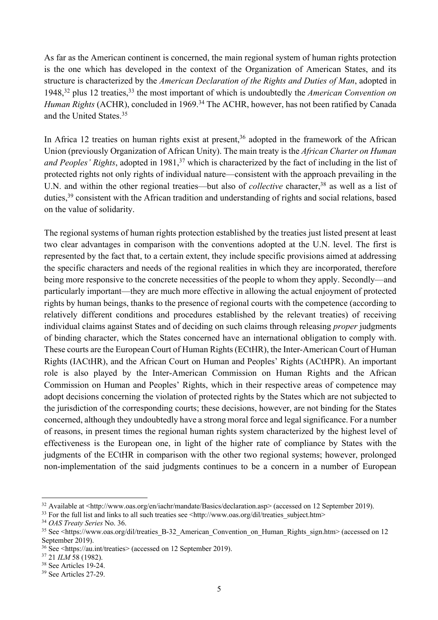As far as the American continent is concerned, the main regional system of human rights protection is the one which has developed in the context of the Organization of American States, and its structure is characterized by the *American Declaration of the Rights and Duties of Man*, adopted in 1948, <sup>32</sup> plus 12 treaties,33 the most important of which is undoubtedly the *American Convention on Human Rights* (ACHR), concluded in 1969.<sup>34</sup> The ACHR, however, has not been ratified by Canada and the United States. 35

In Africa 12 treaties on human rights exist at present,  $36$  adopted in the framework of the African Union (previously Organization of African Unity). The main treaty is the *African Charter on Human and Peoples' Rights*, adopted in 1981, <sup>37</sup> which is characterized by the fact of including in the list of protected rights not only rights of individual nature—consistent with the approach prevailing in the U.N. and within the other regional treaties—but also of *collective* character,<sup>38</sup> as well as a list of duties,39 consistent with the African tradition and understanding of rights and social relations, based on the value of solidarity.

The regional systems of human rights protection established by the treaties just listed present at least two clear advantages in comparison with the conventions adopted at the U.N. level. The first is represented by the fact that, to a certain extent, they include specific provisions aimed at addressing the specific characters and needs of the regional realities in which they are incorporated, therefore being more responsive to the concrete necessities of the people to whom they apply. Secondly—and particularly important—they are much more effective in allowing the actual enjoyment of protected rights by human beings, thanks to the presence of regional courts with the competence (according to relatively different conditions and procedures established by the relevant treaties) of receiving individual claims against States and of deciding on such claims through releasing *proper* judgments of binding character, which the States concerned have an international obligation to comply with. These courts are the European Court of Human Rights (ECtHR), the Inter-American Court of Human Rights (IACtHR), and the African Court on Human and Peoples' Rights (ACtHPR). An important role is also played by the Inter-American Commission on Human Rights and the African Commission on Human and Peoples' Rights, which in their respective areas of competence may adopt decisions concerning the violation of protected rights by the States which are not subjected to the jurisdiction of the corresponding courts; these decisions, however, are not binding for the States concerned, although they undoubtedly have a strong moral force and legal significance. For a number of reasons, in present times the regional human rights system characterized by the highest level of effectiveness is the European one, in light of the higher rate of compliance by States with the judgments of the ECtHR in comparison with the other two regional systems; however, prolonged non-implementation of the said judgments continues to be a concern in a number of European

<sup>&</sup>lt;sup>32</sup> Available at <http://www.oas.org/en/iachr/mandate/Basics/declaration.asp> (accessed on 12 September 2019).

<sup>&</sup>lt;sup>33</sup> For the full list and links to all such treaties see <http://www.oas.org/dil/treaties\_subject.htm>

<sup>34</sup> *OAS Treaty Series* No. 36.

<sup>&</sup>lt;sup>35</sup> See <https://www.oas.org/dil/treaties\_B-32\_American\_Convention\_on\_Human\_Rights\_sign.htm> (accessed on 12 September 2019).

<sup>36</sup> See <https://au.int/treaties> (accessed on 12 September 2019).

<sup>37</sup> 21 *ILM* 58 (1982).

<sup>38</sup> See Articles 19-24.

<sup>39</sup> See Articles 27-29.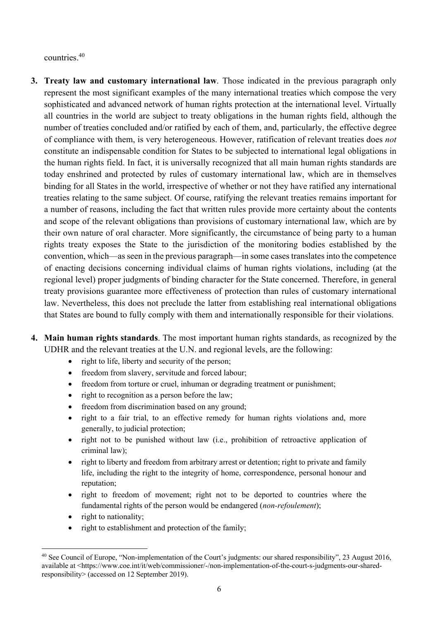countries.40

- **3. Treaty law and customary international law**. Those indicated in the previous paragraph only represent the most significant examples of the many international treaties which compose the very sophisticated and advanced network of human rights protection at the international level. Virtually all countries in the world are subject to treaty obligations in the human rights field, although the number of treaties concluded and/or ratified by each of them, and, particularly, the effective degree of compliance with them, is very heterogeneous. However, ratification of relevant treaties does *not* constitute an indispensable condition for States to be subjected to international legal obligations in the human rights field. In fact, it is universally recognized that all main human rights standards are today enshrined and protected by rules of customary international law, which are in themselves binding for all States in the world, irrespective of whether or not they have ratified any international treaties relating to the same subject. Of course, ratifying the relevant treaties remains important for a number of reasons, including the fact that written rules provide more certainty about the contents and scope of the relevant obligations than provisions of customary international law, which are by their own nature of oral character. More significantly, the circumstance of being party to a human rights treaty exposes the State to the jurisdiction of the monitoring bodies established by the convention, which—as seen in the previous paragraph—in some cases translates into the competence of enacting decisions concerning individual claims of human rights violations, including (at the regional level) proper judgments of binding character for the State concerned. Therefore, in general treaty provisions guarantee more effectiveness of protection than rules of customary international law. Nevertheless, this does not preclude the latter from establishing real international obligations that States are bound to fully comply with them and internationally responsible for their violations.
- **4. Main human rights standards**. The most important human rights standards, as recognized by the UDHR and the relevant treaties at the U.N. and regional levels, are the following:
	- right to life, liberty and security of the person:
	- freedom from slavery, servitude and forced labour;
	- freedom from torture or cruel, inhuman or degrading treatment or punishment;
	- right to recognition as a person before the law;
	- freedom from discrimination based on any ground;
	- right to a fair trial, to an effective remedy for human rights violations and, more generally, to judicial protection;
	- right not to be punished without law (i.e., prohibition of retroactive application of criminal law);
	- right to liberty and freedom from arbitrary arrest or detention; right to private and family life, including the right to the integrity of home, correspondence, personal honour and reputation;
	- right to freedom of movement; right not to be deported to countries where the fundamental rights of the person would be endangered (*non-refoulement*);
	- right to nationality;
	- right to establishment and protection of the family;

<sup>&</sup>lt;sup>40</sup> See Council of Europe, "Non-implementation of the Court's judgments: our shared responsibility", 23 August 2016, available at <https://www.coe.int/it/web/commissioner/-/non-implementation-of-the-court-s-judgments-our-sharedresponsibility> (accessed on 12 September 2019).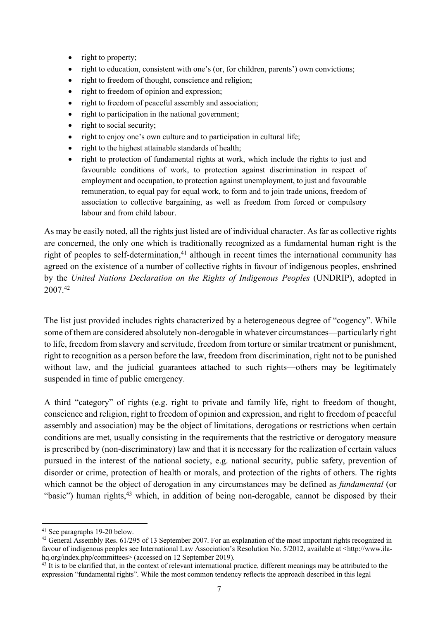- right to property;
- right to education, consistent with one's (or, for children, parents') own convictions;
- right to freedom of thought, conscience and religion;
- right to freedom of opinion and expression;
- right to freedom of peaceful assembly and association;
- right to participation in the national government;
- right to social security;
- right to enjoy one's own culture and to participation in cultural life;
- right to the highest attainable standards of health;
- right to protection of fundamental rights at work, which include the rights to just and favourable conditions of work, to protection against discrimination in respect of employment and occupation, to protection against unemployment, to just and favourable remuneration, to equal pay for equal work, to form and to join trade unions, freedom of association to collective bargaining, as well as freedom from forced or compulsory labour and from child labour.

As may be easily noted, all the rights just listed are of individual character. As far as collective rights are concerned, the only one which is traditionally recognized as a fundamental human right is the right of peoples to self-determination, $41$  although in recent times the international community has agreed on the existence of a number of collective rights in favour of indigenous peoples, enshrined by the *United Nations Declaration on the Rights of Indigenous Peoples* (UNDRIP), adopted in 2007.42

The list just provided includes rights characterized by a heterogeneous degree of "cogency". While some of them are considered absolutely non-derogable in whatever circumstances—particularly right to life, freedom from slavery and servitude, freedom from torture or similar treatment or punishment, right to recognition as a person before the law, freedom from discrimination, right not to be punished without law, and the judicial guarantees attached to such rights—others may be legitimately suspended in time of public emergency.

A third "category" of rights (e.g. right to private and family life, right to freedom of thought, conscience and religion, right to freedom of opinion and expression, and right to freedom of peaceful assembly and association) may be the object of limitations, derogations or restrictions when certain conditions are met, usually consisting in the requirements that the restrictive or derogatory measure is prescribed by (non-discriminatory) law and that it is necessary for the realization of certain values pursued in the interest of the national society, e.g. national security, public safety, prevention of disorder or crime, protection of health or morals, and protection of the rights of others. The rights which cannot be the object of derogation in any circumstances may be defined as *fundamental* (or "basic") human rights, $43$  which, in addition of being non-derogable, cannot be disposed by their

<sup>41</sup> See paragraphs 19-20 below.

<sup>&</sup>lt;sup>42</sup> General Assembly Res. 61/295 of 13 September 2007. For an explanation of the most important rights recognized in favour of indigenous peoples see International Law Association's Resolution No. 5/2012, available at <http://www.ilahq.org/index.php/committees> (accessed on 12 September 2019).

 $43$  It is to be clarified that, in the context of relevant international practice, different meanings may be attributed to the expression "fundamental rights". While the most common tendency reflects the approach described in this legal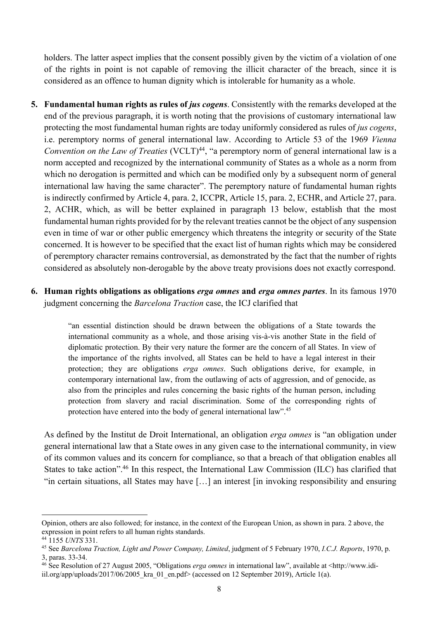holders. The latter aspect implies that the consent possibly given by the victim of a violation of one of the rights in point is not capable of removing the illicit character of the breach, since it is considered as an offence to human dignity which is intolerable for humanity as a whole.

**5.** Fundamental human rights as rules of *jus cogens*. Consistently with the remarks developed at the end of the previous paragraph, it is worth noting that the provisions of customary international law protecting the most fundamental human rights are today uniformly considered as rules of *jus cogens*, i.e. peremptory norms of general international law. According to Article 53 of the 1969 *Vienna Convention on the Law of Treaties* (VCLT)<sup>44</sup>, "a peremptory norm of general international law is a norm accepted and recognized by the international community of States as a whole as a norm from which no derogation is permitted and which can be modified only by a subsequent norm of general international law having the same character". The peremptory nature of fundamental human rights is indirectly confirmed by Article 4, para. 2, ICCPR, Article 15, para. 2, ECHR, and Article 27, para. 2, ACHR, which, as will be better explained in paragraph 13 below, establish that the most fundamental human rights provided for by the relevant treaties cannot be the object of any suspension even in time of war or other public emergency which threatens the integrity or security of the State concerned. It is however to be specified that the exact list of human rights which may be considered of peremptory character remains controversial, as demonstrated by the fact that the number of rights considered as absolutely non-derogable by the above treaty provisions does not exactly correspond.

### **6. Human rights obligations as obligations** *erga omnes* **and** *erga omnes partes*. In its famous 1970 judgment concerning the *Barcelona Traction* case, the ICJ clarified that

"an essential distinction should be drawn between the obligations of a State towards the international community as a whole, and those arising vis-à-vis another State in the field of diplomatic protection. By their very nature the former are the concern of all States. In view of the importance of the rights involved, all States can be held to have a legal interest in their protection; they are obligations *erga omnes*. Such obligations derive, for example, in contemporary international law, from the outlawing of acts of aggression, and of genocide, as also from the principles and rules concerning the basic rights of the human person, including protection from slavery and racial discrimination. Some of the corresponding rights of protection have entered into the body of general international law".45

As defined by the Institut de Droit International, an obligation *erga omnes* is "an obligation under general international law that a State owes in any given case to the international community, in view of its common values and its concern for compliance, so that a breach of that obligation enables all States to take action".46 In this respect, the International Law Commission (ILC) has clarified that "in certain situations, all States may have […] an interest [in invoking responsibility and ensuring

Opinion, others are also followed; for instance, in the context of the European Union, as shown in para. 2 above, the expression in point refers to all human rights standards.

<sup>44</sup> 1155 *UNTS* 331.

<sup>45</sup> See *Barcelona Traction, Light and Power Company, Limited*, judgment of 5 February 1970, *I.C.J. Reports*, 1970, p. 3, paras. 33-34.

<sup>46</sup> See Resolution of 27 August 2005, "Obligations *erga omnes* in international law", available at <http://www.idi-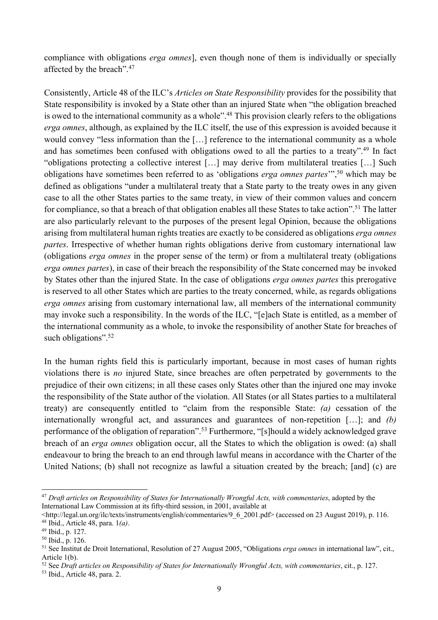compliance with obligations *erga omnes*], even though none of them is individually or specially affected by the breach".47

Consistently, Article 48 of the ILC's *Articles on State Responsibility* provides for the possibility that State responsibility is invoked by a State other than an injured State when "the obligation breached is owed to the international community as a whole".<sup>48</sup> This provision clearly refers to the obligations *erga omnes*, although, as explained by the ILC itself, the use of this expression is avoided because it would convey "less information than the […] reference to the international community as a whole and has sometimes been confused with obligations owed to all the parties to a treaty".<sup>49</sup> In fact "obligations protecting a collective interest […] may derive from multilateral treaties […] Such obligations have sometimes been referred to as 'obligations *erga omnes partes*'", <sup>50</sup> which may be defined as obligations "under a multilateral treaty that a State party to the treaty owes in any given case to all the other States parties to the same treaty, in view of their common values and concern for compliance, so that a breach of that obligation enables all these States to take action".<sup>51</sup> The latter are also particularly relevant to the purposes of the present legal Opinion, because the obligations arising from multilateral human rights treaties are exactly to be considered as obligations *erga omnes partes*. Irrespective of whether human rights obligations derive from customary international law (obligations *erga omnes* in the proper sense of the term) or from a multilateral treaty (obligations *erga omnes partes*), in case of their breach the responsibility of the State concerned may be invoked by States other than the injured State. In the case of obligations *erga omnes partes* this prerogative is reserved to all other States which are parties to the treaty concerned, while, as regards obligations *erga omnes* arising from customary international law, all members of the international community may invoke such a responsibility. In the words of the ILC, "[e]ach State is entitled, as a member of the international community as a whole, to invoke the responsibility of another State for breaches of such obligations".<sup>52</sup>

In the human rights field this is particularly important, because in most cases of human rights violations there is *no* injured State, since breaches are often perpetrated by governments to the prejudice of their own citizens; in all these cases only States other than the injured one may invoke the responsibility of the State author of the violation. All States (or all States parties to a multilateral treaty) are consequently entitled to "claim from the responsible State: *(a)* cessation of the internationally wrongful act, and assurances and guarantees of non-repetition […]; and *(b)* performance of the obligation of reparation".<sup>53</sup> Furthermore, "[s]hould a widely acknowledged grave breach of an *erga omnes* obligation occur, all the States to which the obligation is owed: (a) shall endeavour to bring the breach to an end through lawful means in accordance with the Charter of the United Nations; (b) shall not recognize as lawful a situation created by the breach; [and] (c) are

<sup>47</sup> *Draft articles on Responsibility of States for Internationally Wrongful Acts, with commentaries*, adopted by the International Law Commission at its fifty-third session, in 2001, available at

 $\langle$ http://legal.un.org/ilc/texts/instruments/english/commentaries/9\_6\_2001.pdf> (accessed on 23 August 2019), p. 116. <sup>48</sup> Ibid., Article 48, para. 1*(a)*.

<sup>49</sup> Ibid., p. 127.

<sup>50</sup> Ibid., p. 126.

<sup>51</sup> See Institut de Droit International, Resolution of 27 August 2005, "Obligations *erga omnes* in international law", cit., Article 1(b).

<sup>52</sup> See *Draft articles on Responsibility of States for Internationally Wrongful Acts, with commentaries*, cit., p. 127.

<sup>53</sup> Ibid., Article 48, para. 2.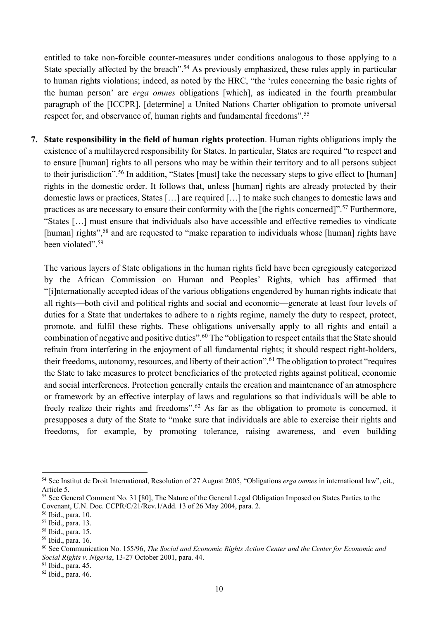entitled to take non-forcible counter-measures under conditions analogous to those applying to a State specially affected by the breach".<sup>54</sup> As previously emphasized, these rules apply in particular to human rights violations; indeed, as noted by the HRC, "the 'rules concerning the basic rights of the human person' are *erga omnes* obligations [which], as indicated in the fourth preambular paragraph of the [ICCPR], [determine] a United Nations Charter obligation to promote universal respect for, and observance of, human rights and fundamental freedoms".<sup>55</sup>

**7. State responsibility in the field of human rights protection**. Human rights obligations imply the existence of a multilayered responsibility for States. In particular, States are required "to respect and to ensure [human] rights to all persons who may be within their territory and to all persons subject to their jurisdiction".<sup>56</sup> In addition, "States [must] take the necessary steps to give effect to [human] rights in the domestic order. It follows that, unless [human] rights are already protected by their domestic laws or practices, States […] are required […] to make such changes to domestic laws and practices as are necessary to ensure their conformity with the [the rights concerned]".57 Furthermore, "States […] must ensure that individuals also have accessible and effective remedies to vindicate [human] rights",<sup>58</sup> and are requested to "make reparation to individuals whose [human] rights have been violated".<sup>59</sup>

The various layers of State obligations in the human rights field have been egregiously categorized by the African Commission on Human and Peoples' Rights, which has affirmed that "[i]nternationally accepted ideas of the various obligations engendered by human rights indicate that all rights—both civil and political rights and social and economic—generate at least four levels of duties for a State that undertakes to adhere to a rights regime, namely the duty to respect, protect, promote, and fulfil these rights. These obligations universally apply to all rights and entail a combination of negative and positive duties".60 The "obligation to respect entails that the State should refrain from interfering in the enjoyment of all fundamental rights; it should respect right-holders, their freedoms, autonomy, resources, and liberty of their action".61 The obligation to protect "requires the State to take measures to protect beneficiaries of the protected rights against political, economic and social interferences. Protection generally entails the creation and maintenance of an atmosphere or framework by an effective interplay of laws and regulations so that individuals will be able to freely realize their rights and freedoms".62 As far as the obligation to promote is concerned, it presupposes a duty of the State to "make sure that individuals are able to exercise their rights and freedoms, for example, by promoting tolerance, raising awareness, and even building

<sup>54</sup> See Institut de Droit International, Resolution of 27 August 2005, "Obligations *erga omnes* in international law", cit., Article 5.

<sup>55</sup> See General Comment No. 31 [80], The Nature of the General Legal Obligation Imposed on States Parties to the Covenant, U.N. Doc. CCPR/C/21/Rev.1/Add. 13 of 26 May 2004, para. 2.

<sup>56</sup> Ibid., para. 10.

<sup>57</sup> Ibid., para. 13.

<sup>58</sup> Ibid., para. 15.

<sup>59</sup> Ibid., para. 16.

<sup>60</sup> See Communication No. 155/96, *The Social and Economic Rights Action Center and the Center for Economic and Social Rights v. Nigeria*, 13-27 October 2001, para. 44.

<sup>61</sup> Ibid., para. 45.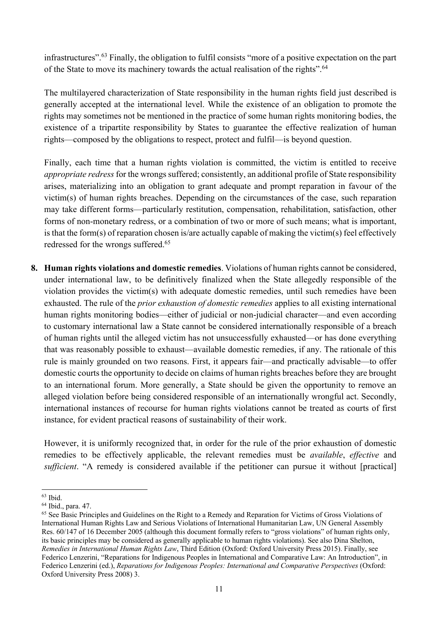infrastructures".63 Finally, the obligation to fulfil consists "more of a positive expectation on the part of the State to move its machinery towards the actual realisation of the rights".<sup>64</sup>

The multilayered characterization of State responsibility in the human rights field just described is generally accepted at the international level. While the existence of an obligation to promote the rights may sometimes not be mentioned in the practice of some human rights monitoring bodies, the existence of a tripartite responsibility by States to guarantee the effective realization of human rights—composed by the obligations to respect, protect and fulfil—is beyond question.

Finally, each time that a human rights violation is committed, the victim is entitled to receive *appropriate redress* for the wrongs suffered; consistently, an additional profile of State responsibility arises, materializing into an obligation to grant adequate and prompt reparation in favour of the victim(s) of human rights breaches. Depending on the circumstances of the case, such reparation may take different forms—particularly restitution, compensation, rehabilitation, satisfaction, other forms of non-monetary redress, or a combination of two or more of such means; what is important, is that the form(s) of reparation chosen is/are actually capable of making the victim(s) feel effectively redressed for the wrongs suffered.<sup>65</sup>

**8. Human rights violations and domestic remedies**. Violations of human rights cannot be considered, under international law, to be definitively finalized when the State allegedly responsible of the violation provides the victim(s) with adequate domestic remedies, until such remedies have been exhausted. The rule of the *prior exhaustion of domestic remedies* applies to all existing international human rights monitoring bodies—either of judicial or non-judicial character—and even according to customary international law a State cannot be considered internationally responsible of a breach of human rights until the alleged victim has not unsuccessfully exhausted—or has done everything that was reasonably possible to exhaust—available domestic remedies, if any. The rationale of this rule is mainly grounded on two reasons. First, it appears fair—and practically advisable—to offer domestic courts the opportunity to decide on claims of human rights breaches before they are brought to an international forum. More generally, a State should be given the opportunity to remove an alleged violation before being considered responsible of an internationally wrongful act. Secondly, international instances of recourse for human rights violations cannot be treated as courts of first instance, for evident practical reasons of sustainability of their work.

However, it is uniformly recognized that, in order for the rule of the prior exhaustion of domestic remedies to be effectively applicable, the relevant remedies must be *available*, *effective* and *sufficient*. "A remedy is considered available if the petitioner can pursue it without [practical]

<sup>63</sup> Ibid.

<sup>64</sup> Ibid., para. 47.

<sup>&</sup>lt;sup>65</sup> See Basic Principles and Guidelines on the Right to a Remedy and Reparation for Victims of Gross Violations of International Human Rights Law and Serious Violations of International Humanitarian Law, UN General Assembly Res. 60/147 of 16 December 2005 (although this document formally refers to "gross violations" of human rights only, its basic principles may be considered as generally applicable to human rights violations). See also Dina Shelton, *Remedies in International Human Rights Law*, Third Edition (Oxford: Oxford University Press 2015). Finally, see Federico Lenzerini, "Reparations for Indigenous Peoples in International and Comparative Law: An Introduction", in Federico Lenzerini (ed.), *Reparations for Indigenous Peoples: International and Comparative Perspectives* (Oxford: Oxford University Press 2008) 3.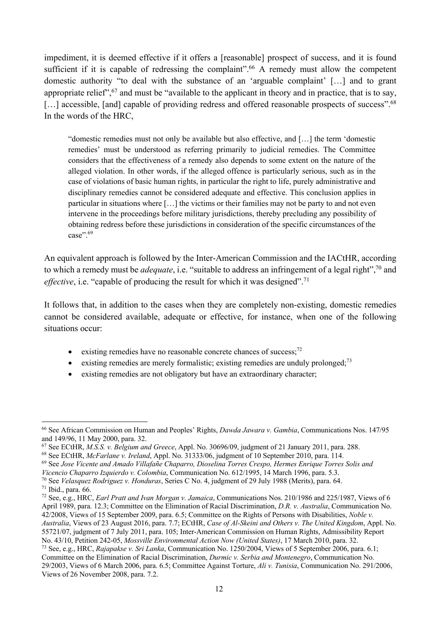impediment, it is deemed effective if it offers a [reasonable] prospect of success, and it is found sufficient if it is capable of redressing the complaint".<sup>66</sup> A remedy must allow the competent domestic authority "to deal with the substance of an 'arguable complaint' […] and to grant appropriate relief",67 and must be "available to the applicant in theory and in practice, that is to say, [...] accessible, [and] capable of providing redress and offered reasonable prospects of success".<sup>68</sup> In the words of the HRC,

"domestic remedies must not only be available but also effective, and […] the term 'domestic remedies' must be understood as referring primarily to judicial remedies. The Committee considers that the effectiveness of a remedy also depends to some extent on the nature of the alleged violation. In other words, if the alleged offence is particularly serious, such as in the case of violations of basic human rights, in particular the right to life, purely administrative and disciplinary remedies cannot be considered adequate and effective. This conclusion applies in particular in situations where […] the victims or their families may not be party to and not even intervene in the proceedings before military jurisdictions, thereby precluding any possibility of obtaining redress before these jurisdictions in consideration of the specific circumstances of the case".<sup>69</sup>

An equivalent approach is followed by the Inter-American Commission and the IACtHR, according to which a remedy must be *adequate*, i.e. "suitable to address an infringement of a legal right",70 and effective, i.e. "capable of producing the result for which it was designed".<sup>71</sup>

It follows that, in addition to the cases when they are completely non-existing, domestic remedies cannot be considered available, adequate or effective, for instance, when one of the following situations occur:

- existing remedies have no reasonable concrete chances of success; $^{72}$
- existing remedies are merely formalistic; existing remedies are unduly prolonged;<sup>73</sup>
- existing remedies are not obligatory but have an extraordinary character;

Views of 26 November 2008, para. 7.2.

<sup>66</sup> See African Commission on Human and Peoples' Rights, *Dawda Jawara v. Gambia*, Communications Nos. 147/95 and 149/96, 11 May 2000, para. 32.

<sup>67</sup> See ECtHR, *M.S.S. v. Belgium and Greece*, Appl. No. 30696/09, judgment of 21 January 2011, para. 288.

<sup>68</sup> See ECtHR, *McFarlane v. Ireland*, Appl. No. 31333/06, judgment of 10 September 2010, para. 114.

<sup>69</sup> See *Jose Vicente and Amado Villafañe Chaparro, Dioselina Torres Crespo, Hermes Enrique Torres Solis and* 

*Vicencio Chaparro Izquierdo v. Colombia*, Communication No. 612/1995, 14 March 1996, para. 5.3.

<sup>70</sup> See *Velasquez Rodriguez v. Honduras*, Series C No. 4, judgment of 29 July 1988 (Merits), para. 64. <sup>71</sup> Ibid., para. 66.

<sup>72</sup> See, e.g., HRC, *Earl Pratt and Ivan Morgan v. Jamaica*, Communications Nos. 210/1986 and 225/1987, Views of 6 April 1989, para. 12.3; Committee on the Elimination of Racial Discrimination, *D.R. v. Australia*, Communication No. 42/2008, Views of 15 September 2009, para. 6.5; Committee on the Rights of Persons with Disabilities, *Noble v. Australia*, Views of 23 August 2016, para. 7.7; ECtHR, *Case of Al-Skeini and Others v. The United Kingdom*, Appl. No. 55721/07, judgment of 7 July 2011, para. 105; Inter-American Commission on Human Rights, Admissibility Report No. 43/10, Petition 242-05, *Mossville Environmental Action Now (United States)*, 17 March 2010, para. 32. <sup>73</sup> See, e.g., HRC, *Rajapakse v. Sri Lanka*, Communication No. 1250/2004, Views of 5 September 2006, para. 6.1; Committee on the Elimination of Racial Discrimination, *Durmic v. Serbia and Montenegro*, Communication No. 29/2003, Views of 6 March 2006, para. 6.5; Committee Against Torture, *Ali v. Tunisia*, Communication No. 291/2006,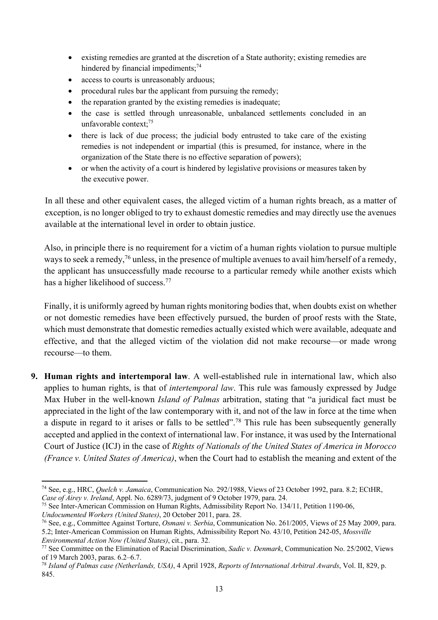- existing remedies are granted at the discretion of a State authority; existing remedies are hindered by financial impediments;<sup>74</sup>
- access to courts is unreasonably arduous;
- procedural rules bar the applicant from pursuing the remedy;
- the reparation granted by the existing remedies is inadequate;
- the case is settled through unreasonable, unbalanced settlements concluded in an unfavorable context; 75
- there is lack of due process; the judicial body entrusted to take care of the existing remedies is not independent or impartial (this is presumed, for instance, where in the organization of the State there is no effective separation of powers);
- or when the activity of a court is hindered by legislative provisions or measures taken by the executive power.

In all these and other equivalent cases, the alleged victim of a human rights breach, as a matter of exception, is no longer obliged to try to exhaust domestic remedies and may directly use the avenues available at the international level in order to obtain justice.

Also, in principle there is no requirement for a victim of a human rights violation to pursue multiple ways to seek a remedy,<sup>76</sup> unless, in the presence of multiple avenues to avail him/herself of a remedy, the applicant has unsuccessfully made recourse to a particular remedy while another exists which has a higher likelihood of success.77

Finally, it is uniformly agreed by human rights monitoring bodies that, when doubts exist on whether or not domestic remedies have been effectively pursued, the burden of proof rests with the State, which must demonstrate that domestic remedies actually existed which were available, adequate and effective, and that the alleged victim of the violation did not make recourse—or made wrong recourse—to them.

**9. Human rights and intertemporal law**. A well-established rule in international law, which also applies to human rights, is that of *intertemporal law*. This rule was famously expressed by Judge Max Huber in the well-known *Island of Palmas* arbitration, stating that "a juridical fact must be appreciated in the light of the law contemporary with it, and not of the law in force at the time when a dispute in regard to it arises or falls to be settled".78 This rule has been subsequently generally accepted and applied in the context of international law. For instance, it was used by the International Court of Justice (ICJ) in the case of *Rights of Nationals of the United States of America in Morocco (France v. United States of America)*, when the Court had to establish the meaning and extent of the

<sup>75</sup> See Inter-American Commission on Human Rights, Admissibility Report No. 134/11, Petition 1190-06,

*Undocumented Workers (United States)*, 20 October 2011, para. 28.

<sup>74</sup> See, e.g., HRC, *Quelch v. Jamaica*, Communication No. 292/1988, Views of 23 October 1992, para. 8.2; ECtHR, *Case of Airey v. Ireland*, Appl. No. 6289/73, judgment of 9 October 1979, para. 24.

<sup>76</sup> See, e.g., Committee Against Torture, *Osmani v. Serbia*, Communication No. 261/2005, Views of 25 May 2009, para. 5.2; Inter-American Commission on Human Rights, Admissibility Report No. 43/10, Petition 242-05, *Mossville Environmental Action Now (United States)*, cit., para. 32.

<sup>77</sup> See Committee on the Elimination of Racial Discrimination, *Sadic v. Denmark*, Communication No. 25/2002, Views of 19 March 2003, paras. 6.2–6.7.

<sup>78</sup> *Island of Palmas case (Netherlands, USA)*, 4 April 1928, *Reports of International Arbitral Awards*, Vol. II, 829, p. 845.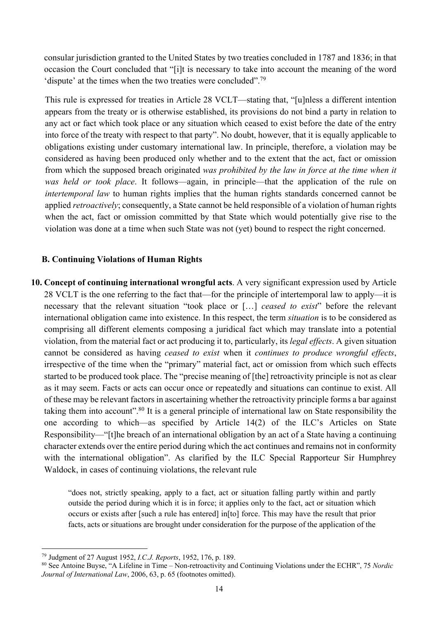consular jurisdiction granted to the United States by two treaties concluded in 1787 and 1836; in that occasion the Court concluded that "[i]t is necessary to take into account the meaning of the word 'dispute' at the times when the two treaties were concluded".79

This rule is expressed for treaties in Article 28 VCLT—stating that, "[u]nless a different intention appears from the treaty or is otherwise established, its provisions do not bind a party in relation to any act or fact which took place or any situation which ceased to exist before the date of the entry into force of the treaty with respect to that party". No doubt, however, that it is equally applicable to obligations existing under customary international law. In principle, therefore, a violation may be considered as having been produced only whether and to the extent that the act, fact or omission from which the supposed breach originated *was prohibited by the law in force at the time when it was held or took place*. It follows—again, in principle—that the application of the rule on *intertemporal law* to human rights implies that the human rights standards concerned cannot be applied *retroactively*; consequently, a State cannot be held responsible of a violation of human rights when the act, fact or omission committed by that State which would potentially give rise to the violation was done at a time when such State was not (yet) bound to respect the right concerned.

### **B. Continuing Violations of Human Rights**

**10. Concept of continuing international wrongful acts**. A very significant expression used by Article 28 VCLT is the one referring to the fact that—for the principle of intertemporal law to apply—it is necessary that the relevant situation "took place or […] *ceased to exist*" before the relevant international obligation came into existence. In this respect, the term *situation* is to be considered as comprising all different elements composing a juridical fact which may translate into a potential violation, from the material fact or act producing it to, particularly, its *legal effects*. A given situation cannot be considered as having *ceased to exist* when it *continues to produce wrongful effects*, irrespective of the time when the "primary" material fact, act or omission from which such effects started to be produced took place. The "precise meaning of [the] retroactivity principle is not as clear as it may seem. Facts or acts can occur once or repeatedly and situations can continue to exist. All of these may be relevant factors in ascertaining whether the retroactivity principle forms a bar against taking them into account".80 It is a general principle of international law on State responsibility the one according to which—as specified by Article 14(2) of the ILC's Articles on State Responsibility—"[t]he breach of an international obligation by an act of a State having a continuing character extends over the entire period during which the act continues and remains not in conformity with the international obligation". As clarified by the ILC Special Rapporteur Sir Humphrey Waldock, in cases of continuing violations, the relevant rule

"does not, strictly speaking, apply to a fact, act or situation falling partly within and partly outside the period during which it is in force; it applies only to the fact, act or situation which occurs or exists after [such a rule has entered] in[to] force. This may have the result that prior facts, acts or situations are brought under consideration for the purpose of the application of the

<sup>79</sup> Judgment of 27 August 1952, *I.C.J. Reports*, 1952, 176, p. 189.

<sup>80</sup> See Antoine Buyse, "A Lifeline in Time – Non-retroactivity and Continuing Violations under the ECHR", 75 *Nordic Journal of International Law*, 2006, 63, p. 65 (footnotes omitted).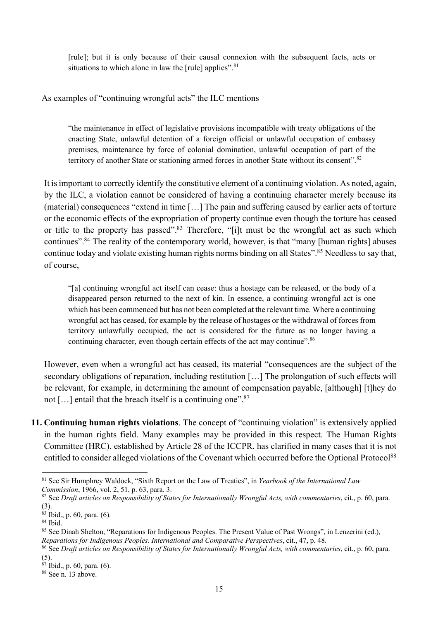[rule]; but it is only because of their causal connexion with the subsequent facts, acts or situations to which alone in law the [rule] applies".<sup>81</sup>

### As examples of "continuing wrongful acts" the ILC mentions

"the maintenance in effect of legislative provisions incompatible with treaty obligations of the enacting State, unlawful detention of a foreign official or unlawful occupation of embassy premises, maintenance by force of colonial domination, unlawful occupation of part of the territory of another State or stationing armed forces in another State without its consent".<sup>82</sup>

It is important to correctly identify the constitutive element of a continuing violation. As noted, again, by the ILC, a violation cannot be considered of having a continuing character merely because its (material) consequences "extend in time […] The pain and suffering caused by earlier acts of torture or the economic effects of the expropriation of property continue even though the torture has ceased or title to the property has passed".<sup>83</sup> Therefore, "[i]t must be the wrongful act as such which continues".84 The reality of the contemporary world, however, is that "many [human rights] abuses continue today and violate existing human rights norms binding on all States".85 Needless to say that, of course,

"[a] continuing wrongful act itself can cease: thus a hostage can be released, or the body of a disappeared person returned to the next of kin. In essence, a continuing wrongful act is one which has been commenced but has not been completed at the relevant time. Where a continuing wrongful act has ceased, for example by the release of hostages or the withdrawal of forces from territory unlawfully occupied, the act is considered for the future as no longer having a continuing character, even though certain effects of the act may continue".<sup>86</sup>

However, even when a wrongful act has ceased, its material "consequences are the subject of the secondary obligations of reparation, including restitution […] The prolongation of such effects will be relevant, for example, in determining the amount of compensation payable, [although] [t]hey do not  $[\dots]$  entail that the breach itself is a continuing one".<sup>87</sup>

**11. Continuing human rights violations**. The concept of "continuing violation" is extensively applied in the human rights field. Many examples may be provided in this respect. The Human Rights Committee (HRC), established by Article 28 of the ICCPR, has clarified in many cases that it is not entitled to consider alleged violations of the Covenant which occurred before the Optional Protocol<sup>88</sup>

<sup>81</sup> See Sir Humphrey Waldock, "Sixth Report on the Law of Treaties", in *Yearbook of the International Law Commission*, 1966, vol. 2, 51, p. 63, para. 3.

<sup>82</sup> See *Draft articles on Responsibility of States for Internationally Wrongful Acts, with commentaries*, cit., p. 60, para. (3).

<sup>83</sup> Ibid., p. 60, para. (6).

 $84$  Ibid.

<sup>85</sup> See Dinah Shelton, "Reparations for Indigenous Peoples. The Present Value of Past Wrongs", in Lenzerini (ed.), *Reparations for Indigenous Peoples. International and Comparative Perspectives*, cit., 47, p. 48.

<sup>86</sup> See *Draft articles on Responsibility of States for Internationally Wrongful Acts, with commentaries*, cit., p. 60, para. (5).

<sup>87</sup> Ibid., p. 60, para. (6).

<sup>&</sup>lt;sup>88</sup> See n. 13 above.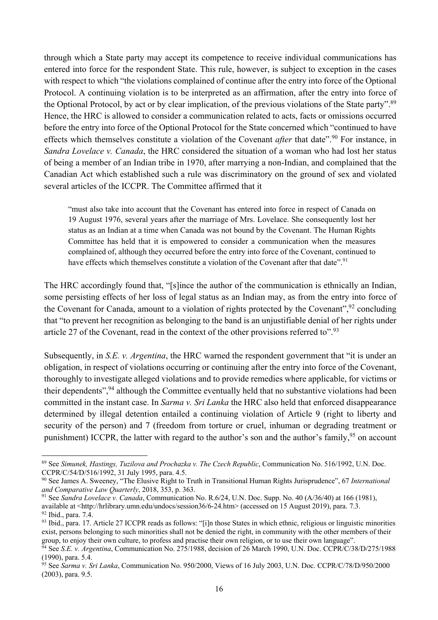through which a State party may accept its competence to receive individual communications has entered into force for the respondent State. This rule, however, is subject to exception in the cases with respect to which "the violations complained of continue after the entry into force of the Optional Protocol. A continuing violation is to be interpreted as an affirmation, after the entry into force of the Optional Protocol, by act or by clear implication, of the previous violations of the State party".89 Hence, the HRC is allowed to consider a communication related to acts, facts or omissions occurred before the entry into force of the Optional Protocol for the State concerned which "continued to have effects which themselves constitute a violation of the Covenant *after* that date".<sup>90</sup> For instance, in *Sandra Lovelace v. Canada*, the HRC considered the situation of a woman who had lost her status of being a member of an Indian tribe in 1970, after marrying a non-Indian, and complained that the Canadian Act which established such a rule was discriminatory on the ground of sex and violated several articles of the ICCPR. The Committee affirmed that it

"must also take into account that the Covenant has entered into force in respect of Canada on 19 August 1976, several years after the marriage of Mrs. Lovelace. She consequently lost her status as an Indian at a time when Canada was not bound by the Covenant. The Human Rights Committee has held that it is empowered to consider a communication when the measures complained of, although they occurred before the entry into force of the Covenant, continued to have effects which themselves constitute a violation of the Covenant after that date".<sup>91</sup>

The HRC accordingly found that, "[s]ince the author of the communication is ethnically an Indian, some persisting effects of her loss of legal status as an Indian may, as from the entry into force of the Covenant for Canada, amount to a violation of rights protected by the Covenant",  $92$  concluding that "to prevent her recognition as belonging to the band is an unjustifiable denial of her rights under article 27 of the Covenant, read in the context of the other provisions referred to".93

Subsequently, in *S.E. v. Argentina*, the HRC warned the respondent government that "it is under an obligation, in respect of violations occurring or continuing after the entry into force of the Covenant, thoroughly to investigate alleged violations and to provide remedies where applicable, for victims or their dependents",<sup>94</sup> although the Committee eventually held that no substantive violations had been committed in the instant case. In *Sarma v. Sri Lanka* the HRC also held that enforced disappearance determined by illegal detention entailed a continuing violation of Article 9 (right to liberty and security of the person) and 7 (freedom from torture or cruel, inhuman or degrading treatment or punishment) ICCPR, the latter with regard to the author's son and the author's family,<sup>95</sup> on account

<sup>89</sup> See *Simunek, Hastings, Tuzilova and Prochazka v. The Czech Republic*, Communication No. 516/1992, U.N. Doc. CCPR/C/54/D/516/1992, 31 July 1995, para. 4.5.

<sup>90</sup> See James A. Sweeney, "The Elusive Right to Truth in Transitional Human Rights Jurisprudence", 67 *International and Comparative Law Quarterly*, 2018, 353, p. 363.

<sup>91</sup> See *Sandra Lovelace v. Canada*, Communication No. R.6/24, U.N. Doc. Supp. No. 40 (A/36/40) at 166 (1981), available at <http://hrlibrary.umn.edu/undocs/session36/6-24.htm> (accessed on 15 August 2019), para. 7.3.

<sup>92</sup> Ibid., para. 7.4.

<sup>93</sup> Ibid., para. 17. Article 27 ICCPR reads as follows: "[i]n those States in which ethnic, religious or linguistic minorities exist, persons belonging to such minorities shall not be denied the right, in community with the other members of their group, to enjoy their own culture, to profess and practise their own religion, or to use their own language".

<sup>&</sup>lt;sup>94</sup> See *S.E. v. Argentina*, Communication No. 275/1988, decision of 26 March 1990, U.N. Doc. CCPR/C/38/D/275/1988 (1990), para. 5.4.

<sup>95</sup> See *Sarma v. Sri Lanka*, Communication No. 950/2000, Views of 16 July 2003, U.N. Doc. CCPR/C/78/D/950/2000 (2003), para. 9.5.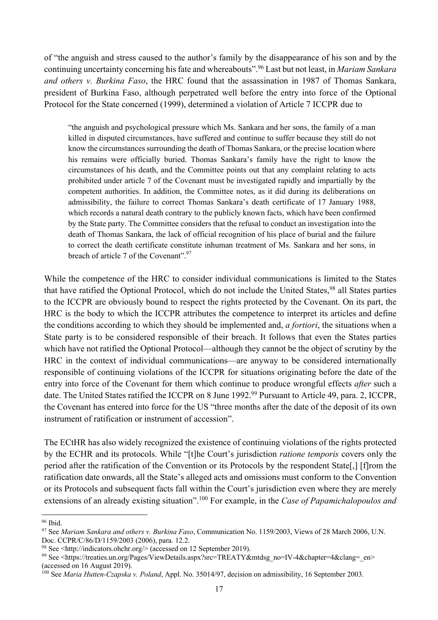of "the anguish and stress caused to the author's family by the disappearance of his son and by the continuing uncertainty concerning his fate and whereabouts".96 Last but not least, in *Mariam Sankara and others v. Burkina Faso*, the HRC found that the assassination in 1987 of Thomas Sankara, president of Burkina Faso, although perpetrated well before the entry into force of the Optional Protocol for the State concerned (1999), determined a violation of Article 7 ICCPR due to

"the anguish and psychological pressure which Ms. Sankara and her sons, the family of a man killed in disputed circumstances, have suffered and continue to suffer because they still do not know the circumstances surrounding the death of Thomas Sankara, or the precise location where his remains were officially buried. Thomas Sankara's family have the right to know the circumstances of his death, and the Committee points out that any complaint relating to acts prohibited under article 7 of the Covenant must be investigated rapidly and impartially by the competent authorities. In addition, the Committee notes, as it did during its deliberations on admissibility, the failure to correct Thomas Sankara's death certificate of 17 January 1988, which records a natural death contrary to the publicly known facts, which have been confirmed by the State party. The Committee considers that the refusal to conduct an investigation into the death of Thomas Sankara, the lack of official recognition of his place of burial and the failure to correct the death certificate constitute inhuman treatment of Ms. Sankara and her sons, in breach of article 7 of the Covenant".<sup>97</sup>

While the competence of the HRC to consider individual communications is limited to the States that have ratified the Optional Protocol, which do not include the United States,<sup>98</sup> all States parties to the ICCPR are obviously bound to respect the rights protected by the Covenant. On its part, the HRC is the body to which the ICCPR attributes the competence to interpret its articles and define the conditions according to which they should be implemented and, *a fortiori*, the situations when a State party is to be considered responsible of their breach. It follows that even the States parties which have not ratified the Optional Protocol—although they cannot be the object of scrutiny by the HRC in the context of individual communications—are anyway to be considered internationally responsible of continuing violations of the ICCPR for situations originating before the date of the entry into force of the Covenant for them which continue to produce wrongful effects *after* such a date. The United States ratified the ICCPR on 8 June 1992.<sup>99</sup> Pursuant to Article 49, para. 2, ICCPR, the Covenant has entered into force for the US "three months after the date of the deposit of its own instrument of ratification or instrument of accession".

The ECtHR has also widely recognized the existence of continuing violations of the rights protected by the ECHR and its protocols. While "[t]he Court's jurisdiction *ratione temporis* covers only the period after the ratification of the Convention or its Protocols by the respondent State[,] [f]rom the ratification date onwards, all the State's alleged acts and omissions must conform to the Convention or its Protocols and subsequent facts fall within the Court's jurisdiction even where they are merely extensions of an already existing situation".100 For example, in the *Case of Papamichalopoulos and* 

<sup>96</sup> Ibid.

<sup>97</sup> See *Mariam Sankara and others v. Burkina Faso*, Communication No. 1159/2003, Views of 28 March 2006, U.N. Doc. CCPR/C/86/D/1159/2003 (2006), para. 12.2.

<sup>98</sup> See <http://indicators.ohchr.org/> (accessed on 12 September 2019).

<sup>99</sup> See <https://treaties.un.org/Pages/ViewDetails.aspx?src=TREATY&mtdsg\_no=IV-4&chapter=4&clang=\_en> (accessed on 16 August 2019).

<sup>100</sup> See *Maria Hutten-Czapska v. Poland*, Appl. No. 35014/97, decision on admissibility, 16 September 2003.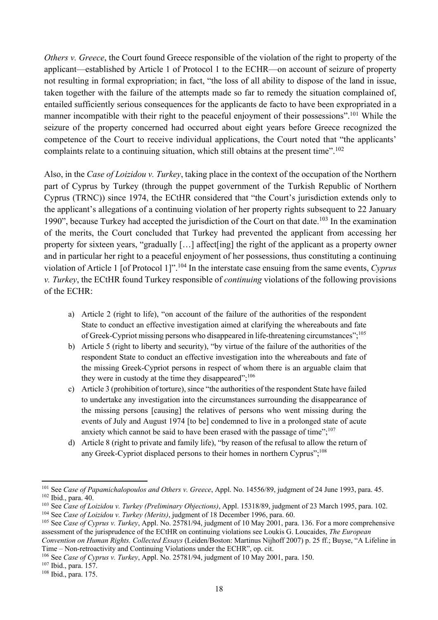*Others v. Greece*, the Court found Greece responsible of the violation of the right to property of the applicant—established by Article 1 of Protocol 1 to the ECHR—on account of seizure of property not resulting in formal expropriation; in fact, "the loss of all ability to dispose of the land in issue, taken together with the failure of the attempts made so far to remedy the situation complained of, entailed sufficiently serious consequences for the applicants de facto to have been expropriated in a manner incompatible with their right to the peaceful enjoyment of their possessions".<sup>101</sup> While the seizure of the property concerned had occurred about eight years before Greece recognized the competence of the Court to receive individual applications, the Court noted that "the applicants' complaints relate to a continuing situation, which still obtains at the present time".<sup>102</sup>

Also, in the *Case of Loizidou v. Turkey*, taking place in the context of the occupation of the Northern part of Cyprus by Turkey (through the puppet government of the Turkish Republic of Northern Cyprus (TRNC)) since 1974, the ECtHR considered that "the Court's jurisdiction extends only to the applicant's allegations of a continuing violation of her property rights subsequent to 22 January 1990", because Turkey had accepted the jurisdiction of the Court on that date.<sup>103</sup> In the examination of the merits, the Court concluded that Turkey had prevented the applicant from accessing her property for sixteen years, "gradually […] affect[ing] the right of the applicant as a property owner and in particular her right to a peaceful enjoyment of her possessions, thus constituting a continuing violation of Article 1 [of Protocol 1]".104 In the interstate case ensuing from the same events, *Cyprus v. Turkey*, the ECtHR found Turkey responsible of *continuing* violations of the following provisions of the ECHR:

- a) Article 2 (right to life), "on account of the failure of the authorities of the respondent State to conduct an effective investigation aimed at clarifying the whereabouts and fate of Greek-Cypriot missing persons who disappeared in life-threatening circumstances";105
- b) Article 5 (right to liberty and security), "by virtue of the failure of the authorities of the respondent State to conduct an effective investigation into the whereabouts and fate of the missing Greek-Cypriot persons in respect of whom there is an arguable claim that they were in custody at the time they disappeared";<sup>106</sup>
- c) Article 3 (prohibition of torture), since "the authorities of the respondent State have failed to undertake any investigation into the circumstances surrounding the disappearance of the missing persons [causing] the relatives of persons who went missing during the events of July and August 1974 [to be] condemned to live in a prolonged state of acute anxiety which cannot be said to have been erased with the passage of time"; $^{107}$
- d) Article 8 (right to private and family life), "by reason of the refusal to allow the return of any Greek-Cypriot displaced persons to their homes in northern Cyprus";<sup>108</sup>

<sup>107</sup> Ibid., para. 157.

<sup>101</sup> See *Case of Papamichalopoulos and Others v. Greece*, Appl. No. 14556/89, judgment of 24 June 1993, para. 45. <sup>102</sup> Ibid., para. 40.

<sup>103</sup> See *Case of Loizidou v. Turkey (Preliminary Objections)*, Appl. 15318/89, judgment of 23 March 1995, para. 102.

<sup>104</sup> See *Case of Loizidou v. Turkey (Merits)*, judgment of 18 December 1996, para. 60.

<sup>105</sup> See *Case of Cyprus v. Turkey*, Appl. No. 25781/94, judgment of 10 May 2001, para. 136. For a more comprehensive assessment of the jurisprudence of the ECtHR on continuing violations see Loukis G. Loucaides, *The European Convention on Human Rights. Collected Essays* (Leiden/Boston: Martinus Nijhoff 2007) p. 25 ff.; Buyse, "A Lifeline in

Time – Non-retroactivity and Continuing Violations under the ECHR", op. cit.

<sup>106</sup> See *Case of Cyprus v. Turkey*, Appl. No. 25781/94, judgment of 10 May 2001, para. 150.

<sup>108</sup> Ibid., para. 175.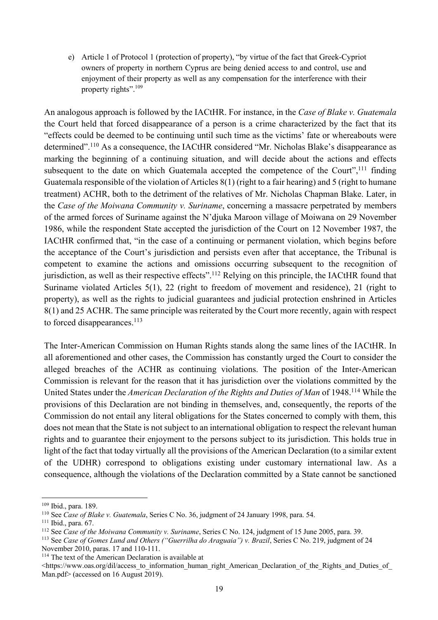e) Article 1 of Protocol 1 (protection of property), "by virtue of the fact that Greek-Cypriot owners of property in northern Cyprus are being denied access to and control, use and enjoyment of their property as well as any compensation for the interference with their property rights".<sup>109</sup>

An analogous approach is followed by the IACtHR. For instance, in the *Case of Blake v. Guatemala* the Court held that forced disappearance of a person is a crime characterized by the fact that its "effects could be deemed to be continuing until such time as the victims' fate or whereabouts were determined".<sup>110</sup> As a consequence, the IACtHR considered "Mr. Nicholas Blake's disappearance as marking the beginning of a continuing situation, and will decide about the actions and effects subsequent to the date on which Guatemala accepted the competence of the Court",<sup>111</sup> finding Guatemala responsible of the violation of Articles 8(1) (right to a fair hearing) and 5 (right to humane treatment) ACHR, both to the detriment of the relatives of Mr. Nicholas Chapman Blake. Later, in the *Case of the Moiwana Community v. Suriname*, concerning a massacre perpetrated by members of the armed forces of Suriname against the N'djuka Maroon village of Moiwana on 29 November 1986, while the respondent State accepted the jurisdiction of the Court on 12 November 1987, the IACtHR confirmed that, "in the case of a continuing or permanent violation, which begins before the acceptance of the Court's jurisdiction and persists even after that acceptance, the Tribunal is competent to examine the actions and omissions occurring subsequent to the recognition of jurisdiction, as well as their respective effects".<sup>112</sup> Relying on this principle, the IACtHR found that Suriname violated Articles 5(1), 22 (right to freedom of movement and residence), 21 (right to property), as well as the rights to judicial guarantees and judicial protection enshrined in Articles 8(1) and 25 ACHR. The same principle was reiterated by the Court more recently, again with respect to forced disappearances.<sup>113</sup>

The Inter-American Commission on Human Rights stands along the same lines of the IACtHR. In all aforementioned and other cases, the Commission has constantly urged the Court to consider the alleged breaches of the ACHR as continuing violations. The position of the Inter-American Commission is relevant for the reason that it has jurisdiction over the violations committed by the United States under the *American Declaration of the Rights and Duties of Man* of 1948.114 While the provisions of this Declaration are not binding in themselves, and, consequently, the reports of the Commission do not entail any literal obligations for the States concerned to comply with them, this does not mean that the State is not subject to an international obligation to respect the relevant human rights and to guarantee their enjoyment to the persons subject to its jurisdiction. This holds true in light of the fact that today virtually all the provisions of the American Declaration (to a similar extent of the UDHR) correspond to obligations existing under customary international law. As a consequence, although the violations of the Declaration committed by a State cannot be sanctioned

<sup>109</sup> Ibid., para. 189.

<sup>110</sup> See *Case of Blake v. Guatemala*, Series C No. 36, judgment of 24 January 1998, para. 54.

<sup>111</sup> Ibid., para. 67.

<sup>112</sup> See *Case of the Moiwana Community v. Suriname*, Series C No. 124, judgment of 15 June 2005, para. 39.

<sup>113</sup> See *Case of Gomes Lund and Others ("Guerrilha do Araguaia") v. Brazil*, Series C No. 219, judgment of 24 November 2010, paras. 17 and 110-111.

<sup>&</sup>lt;sup>114</sup> The text of the American Declaration is available at

<sup>&</sup>lt;https://www.oas.org/dil/access\_to\_information\_human\_right\_American\_Declaration\_of\_the\_Rights\_and\_Duties\_of Man.pdf> (accessed on 16 August 2019).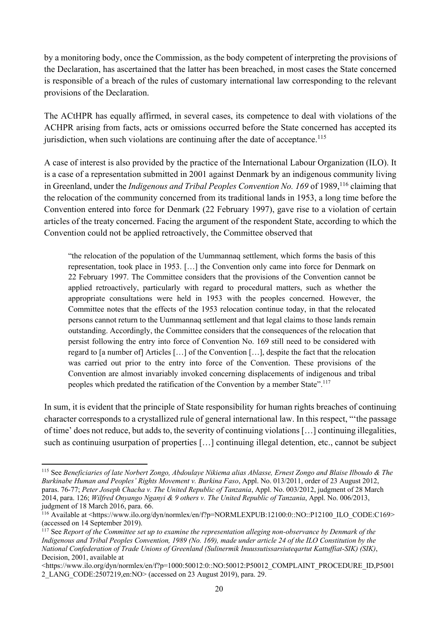by a monitoring body, once the Commission, as the body competent of interpreting the provisions of the Declaration, has ascertained that the latter has been breached, in most cases the State concerned is responsible of a breach of the rules of customary international law corresponding to the relevant provisions of the Declaration.

The ACtHPR has equally affirmed, in several cases, its competence to deal with violations of the ACHPR arising from facts, acts or omissions occurred before the State concerned has accepted its jurisdiction, when such violations are continuing after the date of acceptance.<sup>115</sup>

A case of interest is also provided by the practice of the International Labour Organization (ILO). It is a case of a representation submitted in 2001 against Denmark by an indigenous community living in Greenland, under the *Indigenous and Tribal Peoples Convention No. 169* of 1989,<sup>116</sup> claiming that the relocation of the community concerned from its traditional lands in 1953, a long time before the Convention entered into force for Denmark (22 February 1997), gave rise to a violation of certain articles of the treaty concerned. Facing the argument of the respondent State, according to which the Convention could not be applied retroactively, the Committee observed that

"the relocation of the population of the Uummannaq settlement, which forms the basis of this representation, took place in 1953. […] the Convention only came into force for Denmark on 22 February 1997. The Committee considers that the provisions of the Convention cannot be applied retroactively, particularly with regard to procedural matters, such as whether the appropriate consultations were held in 1953 with the peoples concerned. However, the Committee notes that the effects of the 1953 relocation continue today, in that the relocated persons cannot return to the Uummannaq settlement and that legal claims to those lands remain outstanding. Accordingly, the Committee considers that the consequences of the relocation that persist following the entry into force of Convention No. 169 still need to be considered with regard to [a number of] Articles […] of the Convention […], despite the fact that the relocation was carried out prior to the entry into force of the Convention. These provisions of the Convention are almost invariably invoked concerning displacements of indigenous and tribal peoples which predated the ratification of the Convention by a member State".<sup>117</sup>

In sum, it is evident that the principle of State responsibility for human rights breaches of continuing character corresponds to a crystallized rule of general international law. In this respect, "'the passage of time' does not reduce, but adds to, the severity of continuing violations […] continuing illegalities, such as continuing usurpation of properties […] continuing illegal detention, etc., cannot be subject

<sup>115</sup> See *Beneficiaries of late Norbert Zongo, Abdoulaye Nikiema alias Ablasse, Ernest Zongo and Blaise Ilboudo & The Burkinabe Human and Peoples' Rights Movement v. Burkina Faso*, Appl. No. 013/2011, order of 23 August 2012, paras. 76-77; *Peter Joseph Chacha v. The United Republic of Tanzania*, Appl. No. 003/2012, judgment of 28 March 2014, para. 126; *Wilfred Onyango Nganyi & 9 others v. The United Republic of Tanzania*, Appl. No. 006/2013, judgment of 18 March 2016, para. 66.

<sup>116</sup> Available at <https://www.ilo.org/dyn/normlex/en/f?p=NORMLEXPUB:12100:0::NO::P12100\_ILO\_CODE:C169> (accessed on 14 September 2019).

<sup>117</sup> See *Report of the Committee set up to examine the representation alleging non-observance by Denmark of the Indigenous and Tribal Peoples Convention, 1989 (No. 169), made under article 24 of the ILO Constitution by the National Confederation of Trade Unions of Greenland (Sulinermik Inuussutissarsiuteqartut Kattuffiat-SIK) (SIK)*, Decision, 2001, available at

<sup>&</sup>lt;https://www.ilo.org/dyn/normlex/en/f?p=1000:50012:0::NO:50012:P50012\_COMPLAINT\_PROCEDURE\_ID,P5001 2\_LANG\_CODE:2507219,en:NO> (accessed on 23 August 2019), para. 29.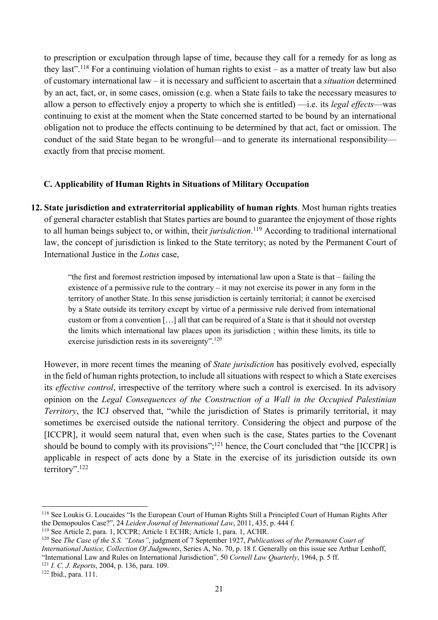to prescription or exculpation through lapse of time, because they call for a remedy for as long as they last".<sup>118</sup> For a continuing violation of human rights to exist – as a matter of treaty law but also of customary international law – it is necessary and sufficient to ascertain that a *situation* determined by an act, fact, or, in some cases, omission (e.g. when a State fails to take the necessary measures to allow a person to effectively enjoy a property to which she is entitled) —i.e. its *legal effects*—was continuing to exist at the moment when the State concerned started to be bound by an international obligation not to produce the effects continuing to be determined by that act, fact or omission. The conduct of the said State began to be wrongful—and to generate its international responsibility exactly from that precise moment.

### **C. Applicability of Human Rights in Situations of Military Occupation**

**12. State jurisdiction and extraterritorial applicability of human rights**. Most human rights treaties of general character establish that States parties are bound to guarantee the enjoyment of those rights to all human beings subject to, or within, their *jurisdiction*. <sup>119</sup> According to traditional international law, the concept of jurisdiction is linked to the State territory; as noted by the Permanent Court of International Justice in the *Lotus* case,

> "the first and foremost restriction imposed by international law upon a State is that – failing the existence of a permissive rule to the contrary – it may not exercise its power in any form in the territory of another State. In this sense jurisdiction is certainly territorial; it cannot be exercised by a State outside its territory except by virtue of a permissive rule derived from international custom or from a convention […] all that can be required of a State is that it should not overstep the limits which international law places upon its jurisdiction ; within these limits, its title to exercise jurisdiction rests in its sovereignty".<sup>120</sup>

However, in more recent times the meaning of *State jurisdiction* has positively evolved, especially in the field of human rights protection, to include all situations with respect to which a State exercises its *effective control*, irrespective of the territory where such a control is exercised. In its advisory opinion on the *Legal Consequences of the Construction of a Wall in the Occupied Palestinian Territory*, the ICJ observed that, "while the jurisdiction of States is primarily territorial, it may sometimes be exercised outside the national territory. Considering the object and purpose of the [ICCPR], it would seem natural that, even when such is the case, States parties to the Covenant should be bound to comply with its provisions"; $^{121}$  hence, the Court concluded that "the [ICCPR] is applicable in respect of acts done by a State in the exercise of its jurisdiction outside its own territory".122

<sup>118</sup> See Loukis G. Loucaides "Is the European Court of Human Rights Still a Principled Court of Human Rights After the Demopoulos Case?", 24 *Leiden Journal of International Law*, 2011, 435, p. 444 f.

<sup>119</sup> See Article 2, para. 1, ICCPR; Article 1 ECHR; Article 1, para. 1, ACHR.

<sup>120</sup> See *The Case of the S.S. "Lotus"*, judgment of 7 September 1927, *Publications of the Permanent Court of International Justice, Collection Of Judgments*, Series A, No. 70, p. 18 f. Generally on this issue see Arthur Lenhoff, "International Law and Rules on International Jurisdiction", 50 *Cornell Law Quarterly*, 1964, p. 5 ff. <sup>121</sup> *I. C. J. Reports*, 2004, p. 136, para. 109.

<sup>122</sup> Ibid., para. 111.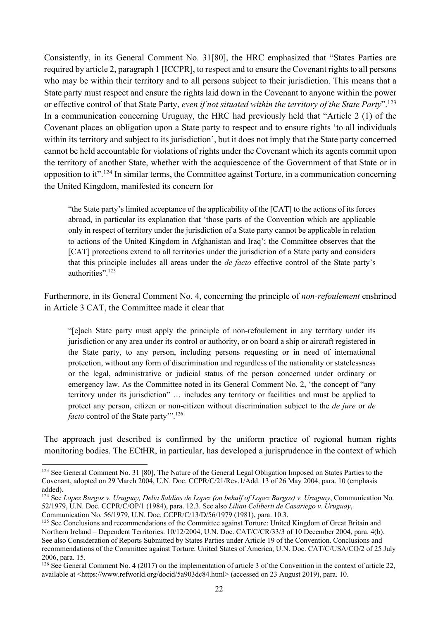Consistently, in its General Comment No. 31[80], the HRC emphasized that "States Parties are required by article 2, paragraph 1 [ICCPR], to respect and to ensure the Covenant rights to all persons who may be within their territory and to all persons subject to their jurisdiction. This means that a State party must respect and ensure the rights laid down in the Covenant to anyone within the power or effective control of that State Party, *even if not situated within the territory of the State Party*".123 In a communication concerning Uruguay, the HRC had previously held that "Article 2 (1) of the Covenant places an obligation upon a State party to respect and to ensure rights 'to all individuals within its territory and subject to its jurisdiction', but it does not imply that the State party concerned cannot be held accountable for violations of rights under the Covenant which its agents commit upon the territory of another State, whether with the acquiescence of the Government of that State or in opposition to it".124 In similar terms, the Committee against Torture, in a communication concerning the United Kingdom, manifested its concern for

"the State party's limited acceptance of the applicability of the [CAT] to the actions of its forces abroad, in particular its explanation that 'those parts of the Convention which are applicable only in respect of territory under the jurisdiction of a State party cannot be applicable in relation to actions of the United Kingdom in Afghanistan and Iraq'; the Committee observes that the [CAT] protections extend to all territories under the jurisdiction of a State party and considers that this principle includes all areas under the *de facto* effective control of the State party's authorities".<sup>125</sup>

Furthermore, in its General Comment No. 4, concerning the principle of *non-refoulement* enshrined in Article 3 CAT, the Committee made it clear that

"[e]ach State party must apply the principle of non-refoulement in any territory under its jurisdiction or any area under its control or authority, or on board a ship or aircraft registered in the State party, to any person, including persons requesting or in need of international protection, without any form of discrimination and regardless of the nationality or statelessness or the legal, administrative or judicial status of the person concerned under ordinary or emergency law. As the Committee noted in its General Comment No. 2, 'the concept of "any territory under its jurisdiction" … includes any territory or facilities and must be applied to protect any person, citizen or non-citizen without discrimination subject to the *de jure* or *de facto* control of the State party"<sup>126</sup>

The approach just described is confirmed by the uniform practice of regional human rights monitoring bodies. The ECtHR, in particular, has developed a jurisprudence in the context of which

<sup>&</sup>lt;sup>123</sup> See General Comment No. 31 [80]. The Nature of the General Legal Obligation Imposed on States Parties to the Covenant, adopted on 29 March 2004, U.N. Doc. CCPR/C/21/Rev.1/Add. 13 of 26 May 2004, para. 10 (emphasis added).

<sup>124</sup> See *Lopez Burgos v. Uruguay, Delia Saldias de Lopez (on behalf of Lopez Burgos) v. Uruguay*, Communication No. 52/1979, U.N. Doc. CCPR/C/OP/1 (1984), para. 12.3. See also *Lilian Celiberti de Casariego v. Uruguay*, Communication No. 56/1979, U.N. Doc. CCPR/C/13/D/56/1979 (1981), para. 10.3.

<sup>&</sup>lt;sup>125</sup> See Conclusions and recommendations of the Committee against Torture: United Kingdom of Great Britain and Northern Ireland – Dependent Territories. 10/12/2004, U.N. Doc. CAT/C/CR/33/3 of 10 December 2004, para. 4(b). See also Consideration of Reports Submitted by States Parties under Article 19 of the Convention. Conclusions and recommendations of the Committee against Torture. United States of America, U.N. Doc. CAT/C/USA/CO/2 of 25 July 2006, para. 15.

<sup>&</sup>lt;sup>126</sup> See General Comment No. 4 (2017) on the implementation of article 3 of the Convention in the context of article 22, available at <https://www.refworld.org/docid/5a903dc84.html> (accessed on 23 August 2019), para. 10.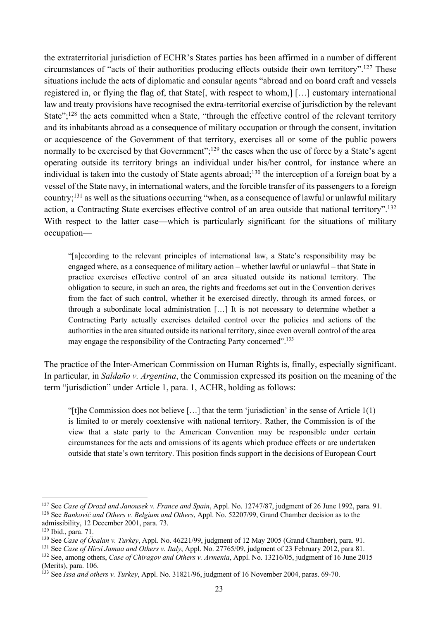the extraterritorial jurisdiction of ECHR's States parties has been affirmed in a number of different circumstances of "acts of their authorities producing effects outside their own territory".127 These situations include the acts of diplomatic and consular agents "abroad and on board craft and vessels registered in, or flying the flag of, that State[, with respect to whom,] […] customary international law and treaty provisions have recognised the extra-territorial exercise of jurisdiction by the relevant State";<sup>128</sup> the acts committed when a State, "through the effective control of the relevant territory and its inhabitants abroad as a consequence of military occupation or through the consent, invitation or acquiescence of the Government of that territory, exercises all or some of the public powers normally to be exercised by that Government";<sup>129</sup> the cases when the use of force by a State's agent operating outside its territory brings an individual under his/her control, for instance where an individual is taken into the custody of State agents abroad; <sup>130</sup> the interception of a foreign boat by a vessel of the State navy, in international waters, and the forcible transfer of its passengers to a foreign country;131 as well as the situations occurring "when, as a consequence of lawful or unlawful military action, a Contracting State exercises effective control of an area outside that national territory".132 With respect to the latter case—which is particularly significant for the situations of military occupation—

"[a]ccording to the relevant principles of international law, a State's responsibility may be engaged where, as a consequence of military action – whether lawful or unlawful – that State in practice exercises effective control of an area situated outside its national territory. The obligation to secure, in such an area, the rights and freedoms set out in the Convention derives from the fact of such control, whether it be exercised directly, through its armed forces, or through a subordinate local administration […] It is not necessary to determine whether a Contracting Party actually exercises detailed control over the policies and actions of the authorities in the area situated outside its national territory, since even overall control of the area may engage the responsibility of the Contracting Party concerned".<sup>133</sup>

The practice of the Inter-American Commission on Human Rights is, finally, especially significant. In particular, in *Saldaño v. Argentina*, the Commission expressed its position on the meaning of the term "jurisdiction" under Article 1, para. 1, ACHR, holding as follows:

"[t]he Commission does not believe […] that the term 'jurisdiction' in the sense of Article 1(1) is limited to or merely coextensive with national territory. Rather, the Commission is of the view that a state party to the American Convention may be responsible under certain circumstances for the acts and omissions of its agents which produce effects or are undertaken outside that state's own territory. This position finds support in the decisions of European Court

<sup>127</sup> See *Case of Drozd and Janousek v. France and Spain*, Appl. No. 12747/87, judgment of 26 June 1992, para. 91. <sup>128</sup> See *Banković and Others v. Belgium and Others*, Appl. No. 52207/99, Grand Chamber decision as to the admissibility, 12 December 2001, para. 73.

<sup>129</sup> Ibid., para. 71.

<sup>130</sup> See *Case of Öcalan v. Turkey*, Appl. No. 46221/99, judgment of 12 May 2005 (Grand Chamber), para. 91.

<sup>131</sup> See *Case of Hirsi Jamaa and Others v. Italy*, Appl. No. 27765/09, judgment of 23 February 2012, para 81.

<sup>132</sup> See, among others, *Case of Chiragov and Others v. Armenia*, Appl. No. 13216/05, judgment of 16 June 2015 (Merits), para. 106.

<sup>133</sup> See *Issa and others v. Turkey*, Appl. No. 31821/96, judgment of 16 November 2004, paras. 69-70.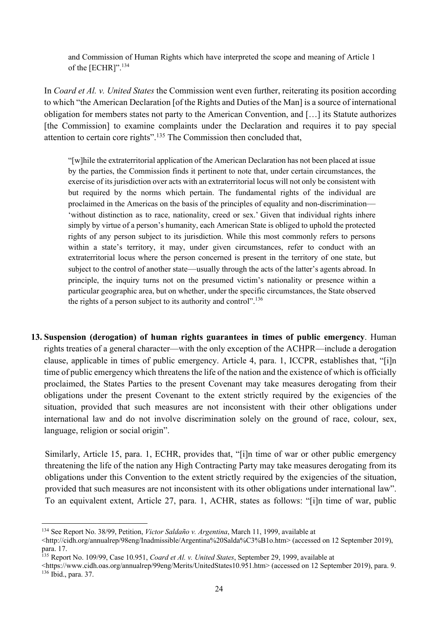and Commission of Human Rights which have interpreted the scope and meaning of Article 1 of the [ECHR]".<sup>134</sup>

In *Coard et Al. v. United States* the Commission went even further, reiterating its position according to which "the American Declaration [of the Rights and Duties of the Man] is a source of international obligation for members states not party to the American Convention, and […] its Statute authorizes [the Commission] to examine complaints under the Declaration and requires it to pay special attention to certain core rights".135 The Commission then concluded that,

"[w]hile the extraterritorial application of the American Declaration has not been placed at issue by the parties, the Commission finds it pertinent to note that, under certain circumstances, the exercise of its jurisdiction over acts with an extraterritorial locus will not only be consistent with but required by the norms which pertain. The fundamental rights of the individual are proclaimed in the Americas on the basis of the principles of equality and non-discrimination— 'without distinction as to race, nationality, creed or sex.' Given that individual rights inhere simply by virtue of a person's humanity, each American State is obliged to uphold the protected rights of any person subject to its jurisdiction. While this most commonly refers to persons within a state's territory, it may, under given circumstances, refer to conduct with an extraterritorial locus where the person concerned is present in the territory of one state, but subject to the control of another state—usually through the acts of the latter's agents abroad. In principle, the inquiry turns not on the presumed victim's nationality or presence within a particular geographic area, but on whether, under the specific circumstances, the State observed the rights of a person subject to its authority and control".<sup>136</sup>

**13. Suspension (derogation) of human rights guarantees in times of public emergency**. Human rights treaties of a general character—with the only exception of the ACHPR—include a derogation clause, applicable in times of public emergency. Article 4, para. 1, ICCPR, establishes that, "[i]n time of public emergency which threatens the life of the nation and the existence of which is officially proclaimed, the States Parties to the present Covenant may take measures derogating from their obligations under the present Covenant to the extent strictly required by the exigencies of the situation, provided that such measures are not inconsistent with their other obligations under international law and do not involve discrimination solely on the ground of race, colour, sex, language, religion or social origin".

Similarly, Article 15, para. 1, ECHR, provides that, "[i]n time of war or other public emergency threatening the life of the nation any High Contracting Party may take measures derogating from its obligations under this Convention to the extent strictly required by the exigencies of the situation, provided that such measures are not inconsistent with its other obligations under international law". To an equivalent extent, Article 27, para. 1, ACHR, states as follows: "[i]n time of war, public

<sup>134</sup> See Report No. 38/99, Petition, *Victor Saldaño v. Argentina*, March 11, 1999, available at

<sup>&</sup>lt;http://cidh.org/annualrep/98eng/Inadmissible/Argentina%20Salda%C3%B1o.htm> (accessed on 12 September 2019), para. 17.

<sup>135</sup> Report No. 109/99, Case 10.951, *Coard et Al. v. United States*, September 29, 1999, available at

<sup>&</sup>lt;https://www.cidh.oas.org/annualrep/99eng/Merits/UnitedStates10.951.htm> (accessed on 12 September 2019), para. 9. <sup>136</sup> Ibid., para. 37.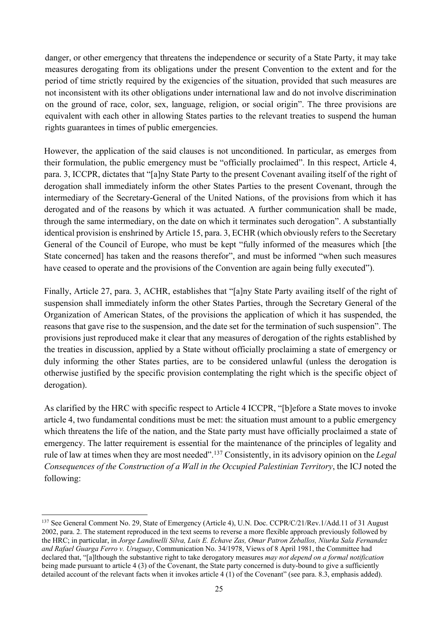danger, or other emergency that threatens the independence or security of a State Party, it may take measures derogating from its obligations under the present Convention to the extent and for the period of time strictly required by the exigencies of the situation, provided that such measures are not inconsistent with its other obligations under international law and do not involve discrimination on the ground of race, color, sex, language, religion, or social origin". The three provisions are equivalent with each other in allowing States parties to the relevant treaties to suspend the human rights guarantees in times of public emergencies.

However, the application of the said clauses is not unconditioned. In particular, as emerges from their formulation, the public emergency must be "officially proclaimed". In this respect, Article 4, para. 3, ICCPR, dictates that "[a]ny State Party to the present Covenant availing itself of the right of derogation shall immediately inform the other States Parties to the present Covenant, through the intermediary of the Secretary-General of the United Nations, of the provisions from which it has derogated and of the reasons by which it was actuated. A further communication shall be made, through the same intermediary, on the date on which it terminates such derogation". A substantially identical provision is enshrined by Article 15, para. 3, ECHR (which obviously refers to the Secretary General of the Council of Europe, who must be kept "fully informed of the measures which [the State concerned] has taken and the reasons therefor", and must be informed "when such measures have ceased to operate and the provisions of the Convention are again being fully executed").

Finally, Article 27, para. 3, ACHR, establishes that "[a]ny State Party availing itself of the right of suspension shall immediately inform the other States Parties, through the Secretary General of the Organization of American States, of the provisions the application of which it has suspended, the reasons that gave rise to the suspension, and the date set for the termination of such suspension". The provisions just reproduced make it clear that any measures of derogation of the rights established by the treaties in discussion, applied by a State without officially proclaiming a state of emergency or duly informing the other States parties, are to be considered unlawful (unless the derogation is otherwise justified by the specific provision contemplating the right which is the specific object of derogation).

As clarified by the HRC with specific respect to Article 4 ICCPR, "[b]efore a State moves to invoke article 4, two fundamental conditions must be met: the situation must amount to a public emergency which threatens the life of the nation, and the State party must have officially proclaimed a state of emergency. The latter requirement is essential for the maintenance of the principles of legality and rule of law at times when they are most needed".137 Consistently, in its advisory opinion on the *Legal Consequences of the Construction of a Wall in the Occupied Palestinian Territory*, the ICJ noted the following:

<sup>137</sup> See General Comment No. 29, State of Emergency (Article 4), U.N. Doc. CCPR/C/21/Rev.1/Add.11 of 31 August 2002, para. 2. The statement reproduced in the text seems to reverse a more flexible approach previously followed by the HRC; in particular, in *Jorge Landinelli Silva, Luis E. Echave Zas, Omar Patron Zeballos, Niurka Sala Fernandez and Rafael Guarga Ferro v. Uruguay*, Communication No. 34/1978, Views of 8 April 1981, the Committee had declared that, "[a]lthough the substantive right to take derogatory measures *may not depend on a formal notification* being made pursuant to article 4 (3) of the Covenant, the State party concerned is duty-bound to give a sufficiently detailed account of the relevant facts when it invokes article 4 (1) of the Covenant" (see para. 8.3, emphasis added).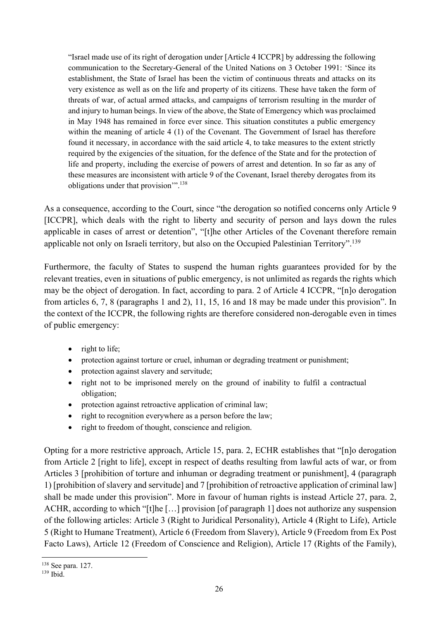"Israel made use of its right of derogation under [Article 4 ICCPR] by addressing the following communication to the Secretary-General of the United Nations on 3 October 1991: 'Since its establishment, the State of Israel has been the victim of continuous threats and attacks on its very existence as well as on the life and property of its citizens. These have taken the form of threats of war, of actual armed attacks, and campaigns of terrorism resulting in the murder of and injury to human beings. In view of the above, the State of Emergency which was proclaimed in May 1948 has remained in force ever since. This situation constitutes a public emergency within the meaning of article 4 (1) of the Covenant. The Government of Israel has therefore found it necessary, in accordance with the said article 4, to take measures to the extent strictly required by the exigencies of the situation, for the defence of the State and for the protection of life and property, including the exercise of powers of arrest and detention. In so far as any of these measures are inconsistent with article 9 of the Covenant, Israel thereby derogates from its obligations under that provision".<sup>138</sup>

As a consequence, according to the Court, since "the derogation so notified concerns only Article 9 [ICCPR], which deals with the right to liberty and security of person and lays down the rules applicable in cases of arrest or detention", "[t]he other Articles of the Covenant therefore remain applicable not only on Israeli territory, but also on the Occupied Palestinian Territory".<sup>139</sup>

Furthermore, the faculty of States to suspend the human rights guarantees provided for by the relevant treaties, even in situations of public emergency, is not unlimited as regards the rights which may be the object of derogation. In fact, according to para. 2 of Article 4 ICCPR, "[n]o derogation from articles 6, 7, 8 (paragraphs 1 and 2), 11, 15, 16 and 18 may be made under this provision". In the context of the ICCPR, the following rights are therefore considered non-derogable even in times of public emergency:

- right to life;
- protection against torture or cruel, inhuman or degrading treatment or punishment;
- protection against slavery and servitude;
- right not to be imprisoned merely on the ground of inability to fulfil a contractual obligation;
- protection against retroactive application of criminal law;
- right to recognition everywhere as a person before the law;
- right to freedom of thought, conscience and religion.

Opting for a more restrictive approach, Article 15, para. 2, ECHR establishes that "[n]o derogation from Article 2 [right to life], except in respect of deaths resulting from lawful acts of war, or from Articles 3 [prohibition of torture and inhuman or degrading treatment or punishment], 4 (paragraph 1) [prohibition of slavery and servitude] and 7 [prohibition of retroactive application of criminal law] shall be made under this provision". More in favour of human rights is instead Article 27, para. 2, ACHR, according to which "[t]he […] provision [of paragraph 1] does not authorize any suspension of the following articles: Article 3 (Right to Juridical Personality), Article 4 (Right to Life), Article 5 (Right to Humane Treatment), Article 6 (Freedom from Slavery), Article 9 (Freedom from Ex Post Facto Laws), Article 12 (Freedom of Conscience and Religion), Article 17 (Rights of the Family),

<sup>138</sup> See para. 127.

<sup>139</sup> Ibid.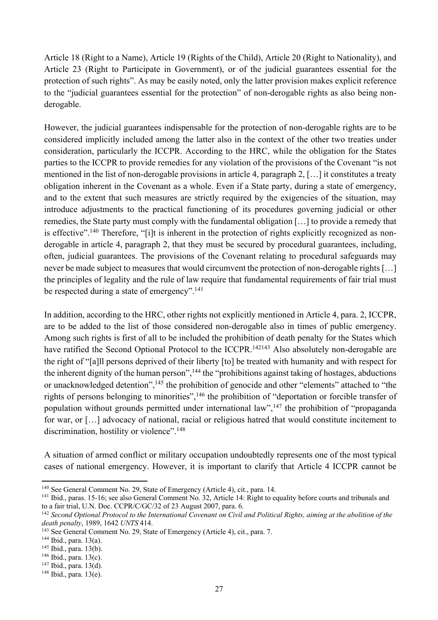Article 18 (Right to a Name), Article 19 (Rights of the Child), Article 20 (Right to Nationality), and Article 23 (Right to Participate in Government), or of the judicial guarantees essential for the protection of such rights". As may be easily noted, only the latter provision makes explicit reference to the "judicial guarantees essential for the protection" of non-derogable rights as also being nonderogable.

However, the judicial guarantees indispensable for the protection of non-derogable rights are to be considered implicitly included among the latter also in the context of the other two treaties under consideration, particularly the ICCPR. According to the HRC, while the obligation for the States parties to the ICCPR to provide remedies for any violation of the provisions of the Covenant "is not mentioned in the list of non-derogable provisions in article 4, paragraph 2, […] it constitutes a treaty obligation inherent in the Covenant as a whole. Even if a State party, during a state of emergency, and to the extent that such measures are strictly required by the exigencies of the situation, may introduce adjustments to the practical functioning of its procedures governing judicial or other remedies, the State party must comply with the fundamental obligation […] to provide a remedy that is effective".140 Therefore, "[i]t is inherent in the protection of rights explicitly recognized as nonderogable in article 4, paragraph 2, that they must be secured by procedural guarantees, including, often, judicial guarantees. The provisions of the Covenant relating to procedural safeguards may never be made subject to measures that would circumvent the protection of non-derogable rights […] the principles of legality and the rule of law require that fundamental requirements of fair trial must be respected during a state of emergency".<sup>141</sup>

In addition, according to the HRC, other rights not explicitly mentioned in Article 4, para. 2, ICCPR, are to be added to the list of those considered non-derogable also in times of public emergency. Among such rights is first of all to be included the prohibition of death penalty for the States which have ratified the Second Optional Protocol to the ICCPR.<sup>142143</sup> Also absolutely non-derogable are the right of "[a]ll persons deprived of their liberty [to] be treated with humanity and with respect for the inherent dignity of the human person",<sup>144</sup> the "prohibitions against taking of hostages, abductions or unacknowledged detention",<sup>145</sup> the prohibition of genocide and other "elements" attached to "the rights of persons belonging to minorities",<sup>146</sup> the prohibition of "deportation or forcible transfer of population without grounds permitted under international law", $147$  the prohibition of "propaganda" for war, or […] advocacy of national, racial or religious hatred that would constitute incitement to discrimination, hostility or violence".<sup>148</sup>

A situation of armed conflict or military occupation undoubtedly represents one of the most typical cases of national emergency. However, it is important to clarify that Article 4 ICCPR cannot be

<sup>140</sup> See General Comment No. 29, State of Emergency (Article 4), cit., para. 14.

<sup>141</sup> Ibid., paras. 15-16; see also General Comment No. 32, Article 14: Right to equality before courts and tribunals and to a fair trial, U.N. Doc. CCPR/C/GC/32 of 23 August 2007, para. 6.

<sup>142</sup> *Second Optional Protocol to the International Covenant on Civil and Political Rights, aiming at the abolition of the death penalty*, 1989, 1642 *UNTS* 414.

<sup>143</sup> See General Comment No. 29, State of Emergency (Article 4), cit., para. 7.

<sup>144</sup> Ibid., para. 13(a).

<sup>145</sup> Ibid., para. 13(b).

 $146$  Ibid., para.  $13(c)$ .

<sup>147</sup> Ibid., para. 13(d).

<sup>148</sup> Ibid., para. 13(e).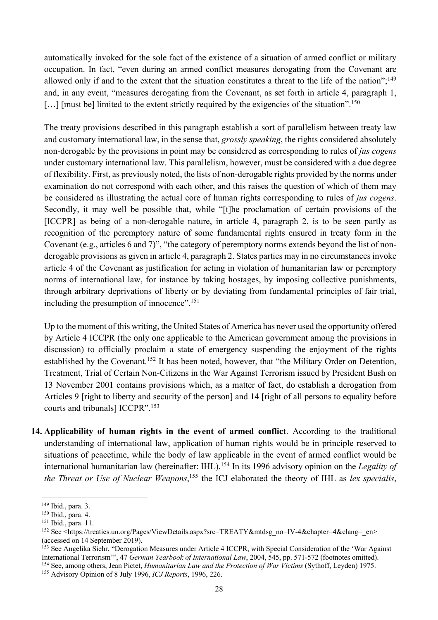automatically invoked for the sole fact of the existence of a situation of armed conflict or military occupation. In fact, "even during an armed conflict measures derogating from the Covenant are allowed only if and to the extent that the situation constitutes a threat to the life of the nation";<sup>149</sup> and, in any event, "measures derogating from the Covenant, as set forth in article 4, paragraph 1, [...] [must be] limited to the extent strictly required by the exigencies of the situation".<sup>150</sup>

The treaty provisions described in this paragraph establish a sort of parallelism between treaty law and customary international law, in the sense that, *grossly speaking*, the rights considered absolutely non-derogable by the provisions in point may be considered as corresponding to rules of *jus cogens* under customary international law. This parallelism, however, must be considered with a due degree of flexibility. First, as previously noted, the lists of non-derogable rights provided by the norms under examination do not correspond with each other, and this raises the question of which of them may be considered as illustrating the actual core of human rights corresponding to rules of *jus cogens*. Secondly, it may well be possible that, while "[t]he proclamation of certain provisions of the [ICCPR] as being of a non-derogable nature, in article 4, paragraph 2, is to be seen partly as recognition of the peremptory nature of some fundamental rights ensured in treaty form in the Covenant (e.g., articles 6 and 7)", "the category of peremptory norms extends beyond the list of nonderogable provisions as given in article 4, paragraph 2. States parties may in no circumstances invoke article 4 of the Covenant as justification for acting in violation of humanitarian law or peremptory norms of international law, for instance by taking hostages, by imposing collective punishments, through arbitrary deprivations of liberty or by deviating from fundamental principles of fair trial, including the presumption of innocence".151

Up to the moment of this writing, the United States of America has never used the opportunity offered by Article 4 ICCPR (the only one applicable to the American government among the provisions in discussion) to officially proclaim a state of emergency suspending the enjoyment of the rights established by the Covenant.<sup>152</sup> It has been noted, however, that "the Military Order on Detention, Treatment, Trial of Certain Non-Citizens in the War Against Terrorism issued by President Bush on 13 November 2001 contains provisions which, as a matter of fact, do establish a derogation from Articles 9 [right to liberty and security of the person] and 14 [right of all persons to equality before courts and tribunals] ICCPR".153

**14. Applicability of human rights in the event of armed conflict**. According to the traditional understanding of international law, application of human rights would be in principle reserved to situations of peacetime, while the body of law applicable in the event of armed conflict would be international humanitarian law (hereinafter: IHL). <sup>154</sup> In its 1996 advisory opinion on the *Legality of the Threat or Use of Nuclear Weapons*, <sup>155</sup> the ICJ elaborated the theory of IHL as *lex specialis*,

<sup>149</sup> Ibid., para. 3.

<sup>150</sup> Ibid., para. 4.

<sup>&</sup>lt;sup>151</sup> Ibid., para. 11.

<sup>152</sup> See <https://treaties.un.org/Pages/ViewDetails.aspx?src=TREATY&mtdsg\_no=IV-4&chapter=4&clang=\_en> (accessed on 14 September 2019).

<sup>&</sup>lt;sup>153</sup> See Angelika Siehr, "Derogation Measures under Article 4 ICCPR, with Special Consideration of the 'War Against International Terrorism'", 47 *German Yearbook of International Law*, 2004, 545, pp. 571-572 (footnotes omitted). <sup>154</sup> See, among others, Jean Pictet, *Humanitarian Law and the Protection of War Victims* (Sythoff, Leyden) 1975.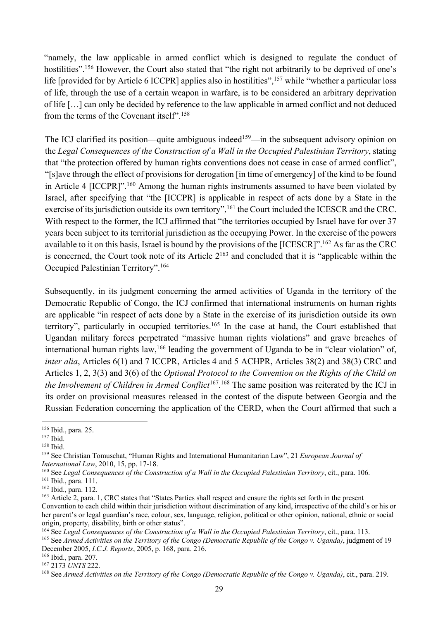"namely, the law applicable in armed conflict which is designed to regulate the conduct of hostilities".<sup>156</sup> However, the Court also stated that "the right not arbitrarily to be deprived of one's life [provided for by Article 6 ICCPR] applies also in hostilities",<sup>157</sup> while "whether a particular loss of life, through the use of a certain weapon in warfare, is to be considered an arbitrary deprivation of life […] can only be decided by reference to the law applicable in armed conflict and not deduced from the terms of the Covenant itself".158

The ICJ clarified its position—quite ambiguous indeed<sup>159</sup>—in the subsequent advisory opinion on the *Legal Consequences of the Construction of a Wall in the Occupied Palestinian Territory*, stating that "the protection offered by human rights conventions does not cease in case of armed conflict", "[s]ave through the effect of provisions for derogation [in time of emergency] of the kind to be found in Article 4 [ICCPR]".<sup>160</sup> Among the human rights instruments assumed to have been violated by Israel, after specifying that "the [ICCPR] is applicable in respect of acts done by a State in the exercise of its jurisdiction outside its own territory",<sup>161</sup> the Court included the ICESCR and the CRC. With respect to the former, the ICJ affirmed that "the territories occupied by Israel have for over 37 years been subject to its territorial jurisdiction as the occupying Power. In the exercise of the powers available to it on this basis, Israel is bound by the provisions of the [ICESCR]".162 As far as the CRC is concerned, the Court took note of its Article  $2^{163}$  and concluded that it is "applicable within the Occupied Palestinian Territory".164

Subsequently, in its judgment concerning the armed activities of Uganda in the territory of the Democratic Republic of Congo, the ICJ confirmed that international instruments on human rights are applicable "in respect of acts done by a State in the exercise of its jurisdiction outside its own territory", particularly in occupied territories.<sup>165</sup> In the case at hand, the Court established that Ugandan military forces perpetrated "massive human rights violations" and grave breaches of international human rights law,  $166$  leading the government of Uganda to be in "clear violation" of, *inter alia*, Articles 6(1) and 7 ICCPR, Articles 4 and 5 ACHPR, Articles 38(2) and 38(3) CRC and Articles 1, 2, 3(3) and 3(6) of the *Optional Protocol to the Convention on the Rights of the Child on*  the Involvement of Children in Armed Conflict<sup>167</sup>.<sup>168</sup> The same position was reiterated by the ICJ in its order on provisional measures released in the contest of the dispute between Georgia and the Russian Federation concerning the application of the CERD, when the Court affirmed that such a

<sup>156</sup> Ibid., para. 25.

<sup>157</sup> Ibid.

<sup>158</sup> Ibid.

<sup>159</sup> See Christian Tomuschat, "Human Rights and International Humanitarian Law", 21 *European Journal of International Law*, 2010, 15, pp. 17-18.

<sup>160</sup> See *Legal Consequences of the Construction of a Wall in the Occupied Palestinian Territory*, cit., para. 106.

<sup>161</sup> Ibid., para. 111.

<sup>162</sup> Ibid., para. 112.

<sup>&</sup>lt;sup>163</sup> Article 2, para. 1, CRC states that "States Parties shall respect and ensure the rights set forth in the present Convention to each child within their jurisdiction without discrimination of any kind, irrespective of the child's or his or her parent's or legal guardian's race, colour, sex, language, religion, political or other opinion, national, ethnic or social origin, property, disability, birth or other status".

<sup>164</sup> See *Legal Consequences of the Construction of a Wall in the Occupied Palestinian Territory*, cit., para. 113.

<sup>165</sup> See *Armed Activities on the Territory of the Congo (Democratic Republic of the Congo v. Uganda)*, judgment of 19 December 2005, *I.C.J. Reports*, 2005, p. 168, para. 216.

<sup>166</sup> Ibid., para. 207.

<sup>167</sup> 2173 *UNTS* 222.

<sup>168</sup> See *Armed Activities on the Territory of the Congo (Democratic Republic of the Congo v. Uganda)*, cit., para. 219.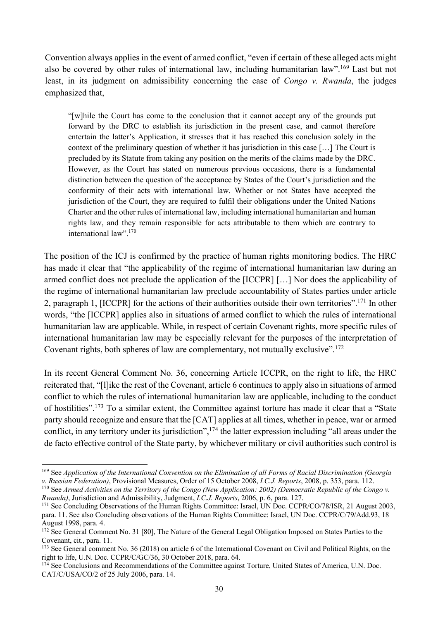Convention always applies in the event of armed conflict, "even if certain of these alleged acts might also be covered by other rules of international law, including humanitarian law".169 Last but not least, in its judgment on admissibility concerning the case of *Congo v. Rwanda*, the judges emphasized that,

"[w]hile the Court has come to the conclusion that it cannot accept any of the grounds put forward by the DRC to establish its jurisdiction in the present case, and cannot therefore entertain the latter's Application, it stresses that it has reached this conclusion solely in the context of the preliminary question of whether it has jurisdiction in this case […] The Court is precluded by its Statute from taking any position on the merits of the claims made by the DRC. However, as the Court has stated on numerous previous occasions, there is a fundamental distinction between the question of the acceptance by States of the Court's jurisdiction and the conformity of their acts with international law. Whether or not States have accepted the jurisdiction of the Court, they are required to fulfil their obligations under the United Nations Charter and the other rules of international law, including international humanitarian and human rights law, and they remain responsible for acts attributable to them which are contrary to international law".<sup>170</sup>

The position of the ICJ is confirmed by the practice of human rights monitoring bodies. The HRC has made it clear that "the applicability of the regime of international humanitarian law during an armed conflict does not preclude the application of the [ICCPR] […] Nor does the applicability of the regime of international humanitarian law preclude accountability of States parties under article 2, paragraph 1, [ICCPR] for the actions of their authorities outside their own territories".171 In other words, "the [ICCPR] applies also in situations of armed conflict to which the rules of international humanitarian law are applicable. While, in respect of certain Covenant rights, more specific rules of international humanitarian law may be especially relevant for the purposes of the interpretation of Covenant rights, both spheres of law are complementary, not mutually exclusive".172

In its recent General Comment No. 36, concerning Article ICCPR, on the right to life, the HRC reiterated that, "[l]ike the rest of the Covenant, article 6 continues to apply also in situations of armed conflict to which the rules of international humanitarian law are applicable, including to the conduct of hostilities".173 To a similar extent, the Committee against torture has made it clear that a "State party should recognize and ensure that the [CAT] applies at all times, whether in peace, war or armed conflict, in any territory under its jurisdiction",174 the latter expression including "all areas under the de facto effective control of the State party, by whichever military or civil authorities such control is

<sup>169</sup> See *Application of the International Convention on the Elimination of all Forms of Racial Discrimination (Georgia v. Russian Federation)*, Provisional Measures, Order of 15 October 2008, *I.C.J. Reports*, 2008, p. 353, para. 112.

<sup>&</sup>lt;sup>170</sup> See *Armed Activities on the Territory of the Congo (New Application: 2002) (Democratic Republic of the Congo v. Rwanda)*, Jurisdiction and Admissibility, Judgment, *I.C.J. Reports*, 2006, p. 6, para. 127.

<sup>171</sup> See Concluding Observations of the Human Rights Committee: Israel, UN Doc. CCPR/CO/78/ISR, 21 August 2003, para. 11. See also Concluding observations of the Human Rights Committee: Israel, UN Doc. CCPR/C/79/Add.93, 18 August 1998, para. 4.

<sup>&</sup>lt;sup>172</sup> See General Comment No. 31 [80], The Nature of the General Legal Obligation Imposed on States Parties to the Covenant, cit., para. 11.

<sup>&</sup>lt;sup>173</sup> See General comment No. 36 (2018) on article 6 of the International Covenant on Civil and Political Rights, on the right to life, U.N. Doc. CCPR/C/GC/36, 30 October 2018, para. 64.

<sup>&</sup>lt;sup>174</sup> See Conclusions and Recommendations of the Committee against Torture, United States of America, U.N. Doc. CAT/C/USA/CO/2 of 25 July 2006, para. 14.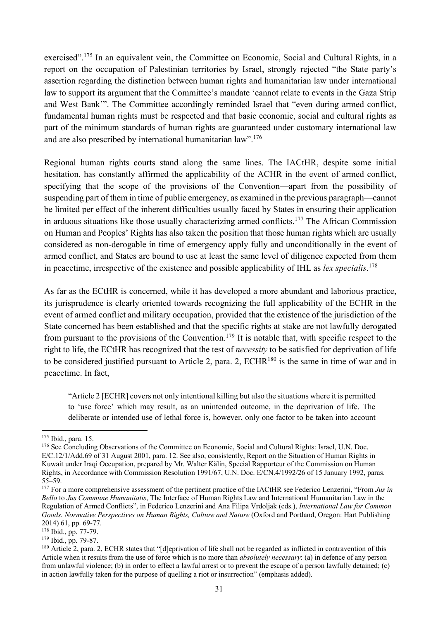exercised".<sup>175</sup> In an equivalent vein, the Committee on Economic, Social and Cultural Rights, in a report on the occupation of Palestinian territories by Israel, strongly rejected "the State party's assertion regarding the distinction between human rights and humanitarian law under international law to support its argument that the Committee's mandate 'cannot relate to events in the Gaza Strip and West Bank'". The Committee accordingly reminded Israel that "even during armed conflict, fundamental human rights must be respected and that basic economic, social and cultural rights as part of the minimum standards of human rights are guaranteed under customary international law and are also prescribed by international humanitarian law".<sup>176</sup>

Regional human rights courts stand along the same lines. The IACtHR, despite some initial hesitation, has constantly affirmed the applicability of the ACHR in the event of armed conflict, specifying that the scope of the provisions of the Convention—apart from the possibility of suspending part of them in time of public emergency, as examined in the previous paragraph—cannot be limited per effect of the inherent difficulties usually faced by States in ensuring their application in arduous situations like those usually characterizing armed conflicts.<sup>177</sup> The African Commission on Human and Peoples' Rights has also taken the position that those human rights which are usually considered as non-derogable in time of emergency apply fully and unconditionally in the event of armed conflict, and States are bound to use at least the same level of diligence expected from them in peacetime, irrespective of the existence and possible applicability of IHL as *lex specialis*. 178

As far as the ECtHR is concerned, while it has developed a more abundant and laborious practice, its jurisprudence is clearly oriented towards recognizing the full applicability of the ECHR in the event of armed conflict and military occupation, provided that the existence of the jurisdiction of the State concerned has been established and that the specific rights at stake are not lawfully derogated from pursuant to the provisions of the Convention.<sup>179</sup> It is notable that, with specific respect to the right to life, the ECtHR has recognized that the test of *necessity* to be satisfied for deprivation of life to be considered justified pursuant to Article 2, para. 2, ECHR180 is the same in time of war and in peacetime. In fact,

"Article 2 [ECHR] covers not only intentional killing but also the situations where it is permitted to 'use force' which may result, as an unintended outcome, in the deprivation of life. The deliberate or intended use of lethal force is, however, only one factor to be taken into account

<sup>175</sup> Ibid., para. 15.

<sup>&</sup>lt;sup>176</sup> See Concluding Observations of the Committee on Economic, Social and Cultural Rights: Israel, U.N. Doc. E/C.12/1/Add.69 of 31 August 2001, para. 12. See also, consistently, Report on the Situation of Human Rights in Kuwait under Iraqi Occupation, prepared by Mr. Walter Kälin, Special Rapporteur of the Commission on Human Rights, in Accordance with Commission Resolution 1991/67, U.N. Doc. E/CN.4/1992/26 of 15 January 1992, paras. 55–59.

<sup>177</sup> For a more comprehensive assessment of the pertinent practice of the IACtHR see Federico Lenzerini, "From *Jus in Bello* to *Jus Commune Humanitatis*, The Interface of Human Rights Law and International Humanitarian Law in the Regulation of Armed Conflicts", in Federico Lenzerini and Ana Filipa Vrdoljak (eds.), *International Law for Common Goods. Normative Perspectives on Human Rights, Culture and Nature* (Oxford and Portland, Oregon: Hart Publishing 2014) 61, pp. 69-77.

<sup>178</sup> Ibid., pp. 77-79.

<sup>179</sup> Ibid., pp. 79-87.

<sup>&</sup>lt;sup>180</sup> Article 2, para. 2, ECHR states that "[d]eprivation of life shall not be regarded as inflicted in contravention of this Article when it results from the use of force which is no more than *absolutely necessary*: (a) in defence of any person from unlawful violence; (b) in order to effect a lawful arrest or to prevent the escape of a person lawfully detained; (c) in action lawfully taken for the purpose of quelling a riot or insurrection" (emphasis added).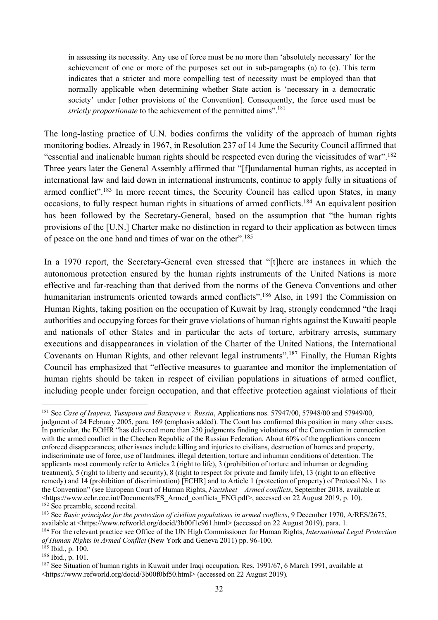in assessing its necessity. Any use of force must be no more than 'absolutely necessary' for the achievement of one or more of the purposes set out in sub-paragraphs (a) to (c). This term indicates that a stricter and more compelling test of necessity must be employed than that normally applicable when determining whether State action is 'necessary in a democratic society' under [other provisions of the Convention]. Consequently, the force used must be *strictly proportionate* to the achievement of the permitted aims".<sup>181</sup>

The long-lasting practice of U.N. bodies confirms the validity of the approach of human rights monitoring bodies. Already in 1967, in Resolution 237 of 14 June the Security Council affirmed that "essential and inalienable human rights should be respected even during the vicissitudes of war".<sup>182</sup> Three years later the General Assembly affirmed that "[f]undamental human rights, as accepted in international law and laid down in international instruments, continue to apply fully in situations of armed conflict".<sup>183</sup> In more recent times, the Security Council has called upon States, in many occasions, to fully respect human rights in situations of armed conflicts.184 An equivalent position has been followed by the Secretary-General, based on the assumption that "the human rights provisions of the [U.N.] Charter make no distinction in regard to their application as between times of peace on the one hand and times of war on the other".<sup>185</sup>

In a 1970 report, the Secretary-General even stressed that "[t]here are instances in which the autonomous protection ensured by the human rights instruments of the United Nations is more effective and far-reaching than that derived from the norms of the Geneva Conventions and other humanitarian instruments oriented towards armed conflicts".<sup>186</sup> Also, in 1991 the Commission on Human Rights, taking position on the occupation of Kuwait by Iraq, strongly condemned "the Iraqi authorities and occupying forces for their grave violations of human rights against the Kuwaiti people and nationals of other States and in particular the acts of torture, arbitrary arrests, summary executions and disappearances in violation of the Charter of the United Nations, the International Covenants on Human Rights, and other relevant legal instruments".187 Finally, the Human Rights Council has emphasized that "effective measures to guarantee and monitor the implementation of human rights should be taken in respect of civilian populations in situations of armed conflict, including people under foreign occupation, and that effective protection against violations of their

*of Human Rights in Armed Conflict* (New York and Geneva 2011) pp. 96-100.

<sup>186</sup> Ibid., p. 101.

<sup>181</sup> See *Case of Isayeva, Yusupova and Bazayeva v. Russia*, Applications nos. 57947/00, 57948/00 and 57949/00, judgment of 24 February 2005, para. 169 (emphasis added). The Court has confirmed this position in many other cases. In particular, the ECtHR "has delivered more than 250 judgments finding violations of the Convention in connection with the armed conflict in the Chechen Republic of the Russian Federation. About 60% of the applications concern enforced disappearances; other issues include killing and injuries to civilians, destruction of homes and property, indiscriminate use of force, use of landmines, illegal detention, torture and inhuman conditions of detention. The applicants most commonly refer to Articles 2 (right to life), 3 (prohibition of torture and inhuman or degrading treatment), 5 (right to liberty and security), 8 (right to respect for private and family life), 13 (right to an effective remedy) and 14 (prohibition of discrimination) [ECHR] and to Article 1 (protection of property) of Protocol No. 1 to the Convention" (see European Court of Human Rights, *Factsheet – Armed conflicts*, September 2018, available at  $\lt$ https://www.echr.coe.int/Documents/FS\_Armed\_conflicts\_ENG.pdf>, accessed on 22 August 2019, p. 10). <sup>182</sup> See preamble, second recital.

<sup>&</sup>lt;sup>183</sup> See *Basic principles for the protection of civilian populations in armed conflicts*, 9 December 1970, A/RES/2675, available at <https://www.refworld.org/docid/3b00f1c961.html> (accessed on 22 August 2019), para. 1. <sup>184</sup> For the relevant practice see Office of the UN High Commissioner for Human Rights, *International Legal Protection* 

 $185$  Ibid., p. 100.

<sup>&</sup>lt;sup>187</sup> See Situation of human rights in Kuwait under Iraqi occupation, Res. 1991/67, 6 March 1991, available at <https://www.refworld.org/docid/3b00f0bf50.html> (accessed on 22 August 2019).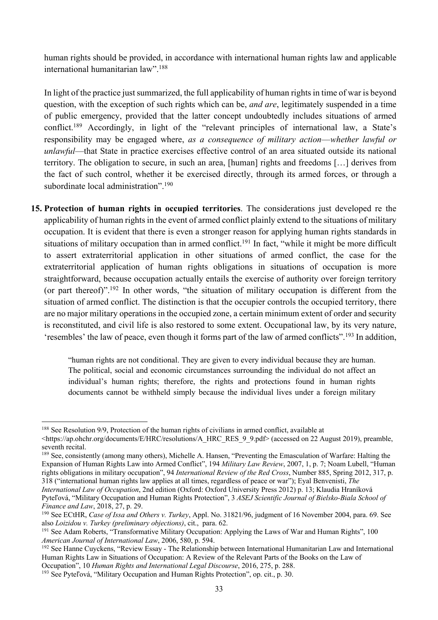human rights should be provided, in accordance with international human rights law and applicable international humanitarian law".188

In light of the practice just summarized, the full applicability of human rights in time of war is beyond question, with the exception of such rights which can be, *and are*, legitimately suspended in a time of public emergency, provided that the latter concept undoubtedly includes situations of armed conflict.189 Accordingly, in light of the "relevant principles of international law, a State's responsibility may be engaged where, *as a consequence of military action*—*whether lawful or unlawful*—that State in practice exercises effective control of an area situated outside its national territory. The obligation to secure, in such an area, [human] rights and freedoms […] derives from the fact of such control, whether it be exercised directly, through its armed forces, or through a subordinate local administration".<sup>190</sup>

**15. Protection of human rights in occupied territories**. The considerations just developed re the applicability of human rights in the event of armed conflict plainly extend to the situations of military occupation. It is evident that there is even a stronger reason for applying human rights standards in situations of military occupation than in armed conflict.<sup>191</sup> In fact, "while it might be more difficult to assert extraterritorial application in other situations of armed conflict, the case for the extraterritorial application of human rights obligations in situations of occupation is more straightforward, because occupation actually entails the exercise of authority over foreign territory (or part thereof)".192 In other words, "the situation of military occupation is different from the situation of armed conflict. The distinction is that the occupier controls the occupied territory, there are no major military operations in the occupied zone, a certain minimum extent of order and security is reconstituted, and civil life is also restored to some extent. Occupational law, by its very nature, 'resembles' the law of peace, even though it forms part of the law of armed conflicts".193 In addition,

"human rights are not conditional. They are given to every individual because they are human. The political, social and economic circumstances surrounding the individual do not affect an individual's human rights; therefore, the rights and protections found in human rights documents cannot be withheld simply because the individual lives under a foreign military

<sup>188</sup> See Resolution 9/9, Protection of the human rights of civilians in armed conflict, available at

<sup>&</sup>lt;https://ap.ohchr.org/documents/E/HRC/resolutions/A\_HRC\_RES\_9\_9.pdf> (accessed on 22 August 2019), preamble, seventh recital.

<sup>189</sup> See, consistently (among many others), Michelle A. Hansen, "Preventing the Emasculation of Warfare: Halting the Expansion of Human Rights Law into Armed Conflict", 194 *Military Law Review*, 2007, 1, p. 7; Noam Lubell, "Human rights obligations in military occupation", 94 *International Review of the Red Cross*, Number 885, Spring 2012, 317, p. 318 ("international human rights law applies at all times, regardless of peace or war"); Eyal Benvenisti, *The International Law of Occupation*, 2nd edition (Oxford: Oxford University Press 2012) p. 13; Klaudia Hraníková

Pyteľová, "Military Occupation and Human Rights Protection", 3 *ASEJ Scientific Journal of Bielsko-Biala School of Finance and Law*, 2018, 27, p. 29.

<sup>190</sup> See ECtHR, *Case of Issa and Others v. Turkey*, Appl. No. 31821/96, judgment of 16 November 2004, para. 69. See also *Loizidou v. Turkey (preliminary objections)*, cit., para. 62.

<sup>&</sup>lt;sup>191</sup> See Adam Roberts, "Transformative Military Occupation: Applying the Laws of War and Human Rights", 100 *American Journal of International Law*, 2006, 580, p. 594.

<sup>&</sup>lt;sup>192</sup> See Hanne Cuyckens, "Review Essay - The Relationship between International Humanitarian Law and International Human Rights Law in Situations of Occupation: A Review of the Relevant Parts of the Books on the Law of Occupation", 10 *Human Rights and International Legal Discourse*, 2016, 275, p. 288.

<sup>193</sup> See Pyteľová, "Military Occupation and Human Rights Protection", op. cit., p. 30.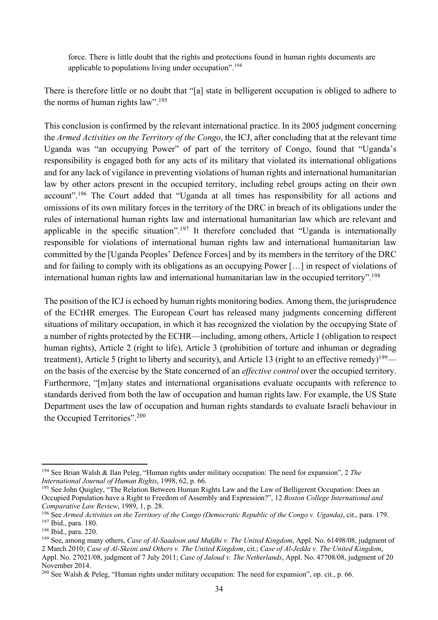force. There is little doubt that the rights and protections found in human rights documents are applicable to populations living under occupation".194

There is therefore little or no doubt that "[a] state in belligerent occupation is obliged to adhere to the norms of human rights law".195

This conclusion is confirmed by the relevant international practice. In its 2005 judgment concerning the *Armed Activities on the Territory of the Congo*, the ICJ, after concluding that at the relevant time Uganda was "an occupying Power" of part of the territory of Congo, found that "Uganda's responsibility is engaged both for any acts of its military that violated its international obligations and for any lack of vigilance in preventing violations of human rights and international humanitarian law by other actors present in the occupied territory, including rebel groups acting on their own account".<sup>196</sup> The Court added that "Uganda at all times has responsibility for all actions and omissions of its own military forces in the territory of the DRC in breach of its obligations under the rules of international human rights law and international humanitarian law which are relevant and applicable in the specific situation".<sup>197</sup> It therefore concluded that "Uganda is internationally responsible for violations of international human rights law and international humanitarian law committed by the [Uganda Peoples' Defence Forces] and by its members in the territory of the DRC and for failing to comply with its obligations as an occupying Power […] in respect of violations of international human rights law and international humanitarian law in the occupied territory".<sup>198</sup>

The position of the ICJ is echoed by human rights monitoring bodies. Among them, the jurisprudence of the ECtHR emerges. The European Court has released many judgments concerning different situations of military occupation, in which it has recognized the violation by the occupying State of a number of rights protected by the ECHR—including, among others, Article 1 (obligation to respect human rights), Article 2 (right to life), Article 3 (prohibition of torture and inhuman or degrading treatment), Article 5 (right to liberty and security), and Article 13 (right to an effective remedy)<sup>199</sup> on the basis of the exercise by the State concerned of an *effective control* over the occupied territory. Furthermore, "[m]any states and international organisations evaluate occupants with reference to standards derived from both the law of occupation and human rights law. For example, the US State Department uses the law of occupation and human rights standards to evaluate Israeli behaviour in the Occupied Territories".200

<sup>194</sup> See Brian Walsh & Ilan Peleg, "Human rights under military occupation: The need for expansion", 2 *The International Journal of Human Rights*, 1998, 62, p. 66.

<sup>&</sup>lt;sup>195</sup> See John Quigley, "The Relation Between Human Rights Law and the Law of Belligerent Occupation: Does an Occupied Population have a Right to Freedom of Assembly and Expression?", 12 *Boston College International and Comparative Law Review*, 1989, 1, p. 28.

<sup>196</sup> See *Armed Activities on the Territory of the Congo (Democratic Republic of the Congo v. Uganda)*, cit., para. 179. <sup>197</sup> Ibid., para. 180.

<sup>198</sup> Ibid., para. 220.

<sup>199</sup> See, among many others, *Case of Al-Saadoon and Mufdhi v. The United Kingdom*, Appl. No. 61498/08, judgment of 2 March 2010; *Case of Al-Skeini and Others v. The United Kingdom*, cit.; *Case of Al-Jedda v. The United Kingdom*,

Appl. No. 27021/08, judgment of 7 July 2011; *Case of Jaloud v. The Netherlands*, Appl. No. 47708/08, judgment of 20 November 2014.

<sup>&</sup>lt;sup>200</sup> See Walsh & Peleg, "Human rights under military occupation: The need for expansion", op. cit., p. 66.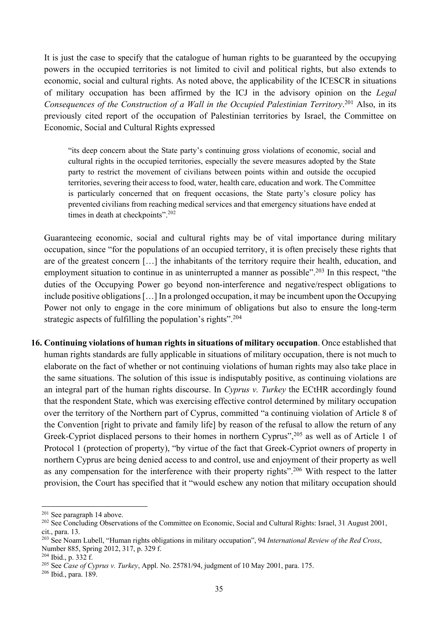It is just the case to specify that the catalogue of human rights to be guaranteed by the occupying powers in the occupied territories is not limited to civil and political rights, but also extends to economic, social and cultural rights. As noted above, the applicability of the ICESCR in situations of military occupation has been affirmed by the ICJ in the advisory opinion on the *Legal Consequences of the Construction of a Wall in the Occupied Palestinian Territory*. <sup>201</sup> Also, in its previously cited report of the occupation of Palestinian territories by Israel, the Committee on Economic, Social and Cultural Rights expressed

"its deep concern about the State party's continuing gross violations of economic, social and cultural rights in the occupied territories, especially the severe measures adopted by the State party to restrict the movement of civilians between points within and outside the occupied territories, severing their access to food, water, health care, education and work. The Committee is particularly concerned that on frequent occasions, the State party's closure policy has prevented civilians from reaching medical services and that emergency situations have ended at times in death at checkpoints".<sup>202</sup>

Guaranteeing economic, social and cultural rights may be of vital importance during military occupation, since "for the populations of an occupied territory, it is often precisely these rights that are of the greatest concern […] the inhabitants of the territory require their health, education, and employment situation to continue in as uninterrupted a manner as possible".<sup>203</sup> In this respect, "the duties of the Occupying Power go beyond non-interference and negative/respect obligations to include positive obligations[…] In a prolonged occupation, it may be incumbent upon the Occupying Power not only to engage in the core minimum of obligations but also to ensure the long-term strategic aspects of fulfilling the population's rights".<sup>204</sup>

**16. Continuing violations of human rights in situations of military occupation**. Once established that human rights standards are fully applicable in situations of military occupation, there is not much to elaborate on the fact of whether or not continuing violations of human rights may also take place in the same situations. The solution of this issue is indisputably positive, as continuing violations are an integral part of the human rights discourse. In *Cyprus v. Turkey* the ECtHR accordingly found that the respondent State, which was exercising effective control determined by military occupation over the territory of the Northern part of Cyprus, committed "a continuing violation of Article 8 of the Convention [right to private and family life] by reason of the refusal to allow the return of any Greek-Cypriot displaced persons to their homes in northern Cyprus",<sup>205</sup> as well as of Article 1 of Protocol 1 (protection of property), "by virtue of the fact that Greek-Cypriot owners of property in northern Cyprus are being denied access to and control, use and enjoyment of their property as well as any compensation for the interference with their property rights".206 With respect to the latter provision, the Court has specified that it "would eschew any notion that military occupation should

<sup>206</sup> Ibid., para. 189.

<sup>201</sup> See paragraph 14 above.

<sup>&</sup>lt;sup>202</sup> See Concluding Observations of the Committee on Economic, Social and Cultural Rights: Israel, 31 August 2001, cit., para. 13.

<sup>203</sup> See Noam Lubell, "Human rights obligations in military occupation", 94 *International Review of the Red Cross*, Number 885, Spring 2012, 317, p. 329 f.

<sup>204</sup> Ibid., p. 332 f.

<sup>205</sup> See *Case of Cyprus v. Turkey*, Appl. No. 25781/94, judgment of 10 May 2001, para. 175.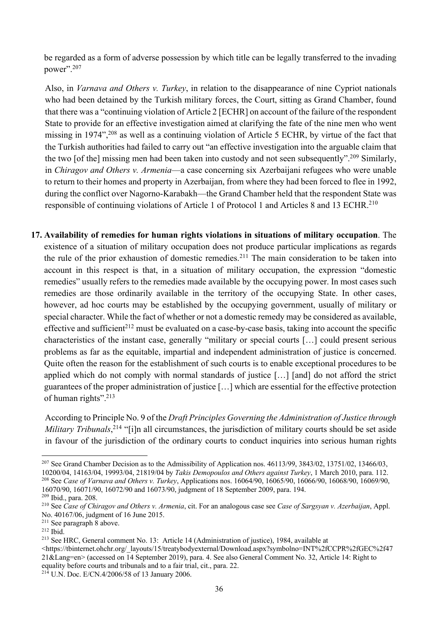be regarded as a form of adverse possession by which title can be legally transferred to the invading power".<sup>207</sup>

Also, in *Varnava and Others v. Turkey*, in relation to the disappearance of nine Cypriot nationals who had been detained by the Turkish military forces, the Court, sitting as Grand Chamber, found that there was a "continuing violation of Article 2 [ECHR] on account of the failure of the respondent State to provide for an effective investigation aimed at clarifying the fate of the nine men who went missing in 1974",208 as well as a continuing violation of Article 5 ECHR, by virtue of the fact that the Turkish authorities had failed to carry out "an effective investigation into the arguable claim that the two [of the] missing men had been taken into custody and not seen subsequently".209 Similarly, in *Chiragov and Others v. Armenia*—a case concerning six Azerbaijani refugees who were unable to return to their homes and property in Azerbaijan, from where they had been forced to flee in 1992, during the conflict over Nagorno-Karabakh—the Grand Chamber held that the respondent State was responsible of continuing violations of Article 1 of Protocol 1 and Articles 8 and 13 ECHR.<sup>210</sup>

**17. Availability of remedies for human rights violations in situations of military occupation**. The existence of a situation of military occupation does not produce particular implications as regards the rule of the prior exhaustion of domestic remedies.<sup>211</sup> The main consideration to be taken into account in this respect is that, in a situation of military occupation, the expression "domestic remedies" usually refers to the remedies made available by the occupying power. In most cases such remedies are those ordinarily available in the territory of the occupying State. In other cases, however, ad hoc courts may be established by the occupying government, usually of military or special character. While the fact of whether or not a domestic remedy may be considered as available, effective and sufficient<sup>212</sup> must be evaluated on a case-by-case basis, taking into account the specific characteristics of the instant case, generally "military or special courts […] could present serious problems as far as the equitable, impartial and independent administration of justice is concerned. Quite often the reason for the establishment of such courts is to enable exceptional procedures to be applied which do not comply with normal standards of justice […] [and] do not afford the strict guarantees of the proper administration of justice […] which are essential for the effective protection of human rights".213

According to Principle No. 9 of the *Draft Principles Governing the Administration of Justice through*  Military Tribunals,<sup>214</sup> "[i]n all circumstances, the jurisdiction of military courts should be set aside in favour of the jurisdiction of the ordinary courts to conduct inquiries into serious human rights

<sup>&</sup>lt;sup>207</sup> See Grand Chamber Decision as to the Admissibility of Application nos.  $46113/99$ ,  $3843/02$ ,  $13751/02$ ,  $13466/03$ , 10200/04, 14163/04, 19993/04, 21819/04 by *Takis Demopoulos and Others against Turkey*, 1 March 2010, para. 112. <sup>208</sup> See *Case of Varnava and Others v. Turkey*, Applications nos. 16064/90, 16065/90, 16066/90, 16068/90, 16069/90, 16070/90, 16071/90, 16072/90 and 16073/90, judgment of 18 September 2009, para. 194. <sup>209</sup> Ibid., para. 208.

<sup>210</sup> See *Case of Chiragov and Others v. Armenia*, cit. For an analogous case see *Case of Sargsyan v. Azerbaijan*, Appl. No. 40167/06, judgment of 16 June 2015.

 $211$  See paragraph  $\overline{8}$  above.

 $212$  Ibid.

<sup>213</sup> See HRC, General comment No. 13: Article 14 (Administration of justice), 1984, available at

<sup>&</sup>lt;https://tbinternet.ohchr.org/\_layouts/15/treatybodyexternal/Download.aspx?symbolno=INT%2fCCPR%2fGEC%2f47 21&Lang=en> (accessed on 14 September 2019), para. 4. See also General Comment No. 32, Article 14: Right to equality before courts and tribunals and to a fair trial, cit., para. 22.

 $^{214}$  U.N. Doc. E/CN.4/2006/58 of 13 January 2006.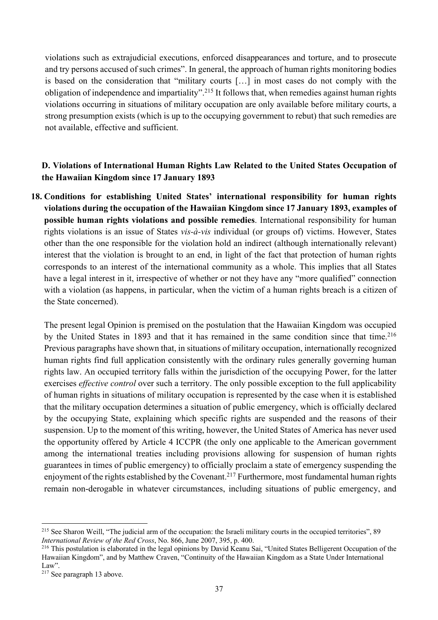violations such as extrajudicial executions, enforced disappearances and torture, and to prosecute and try persons accused of such crimes". In general, the approach of human rights monitoring bodies is based on the consideration that "military courts […] in most cases do not comply with the obligation of independence and impartiality".215 It follows that, when remedies against human rights violations occurring in situations of military occupation are only available before military courts, a strong presumption exists (which is up to the occupying government to rebut) that such remedies are not available, effective and sufficient.

## **D. Violations of International Human Rights Law Related to the United States Occupation of the Hawaiian Kingdom since 17 January 1893**

**18. Conditions for establishing United States' international responsibility for human rights violations during the occupation of the Hawaiian Kingdom since 17 January 1893, examples of possible human rights violations and possible remedies**. International responsibility for human rights violations is an issue of States *vis-à-vis* individual (or groups of) victims. However, States other than the one responsible for the violation hold an indirect (although internationally relevant) interest that the violation is brought to an end, in light of the fact that protection of human rights corresponds to an interest of the international community as a whole. This implies that all States have a legal interest in it, irrespective of whether or not they have any "more qualified" connection with a violation (as happens, in particular, when the victim of a human rights breach is a citizen of the State concerned).

The present legal Opinion is premised on the postulation that the Hawaiian Kingdom was occupied by the United States in 1893 and that it has remained in the same condition since that time.<sup>216</sup> Previous paragraphs have shown that, in situations of military occupation, internationally recognized human rights find full application consistently with the ordinary rules generally governing human rights law. An occupied territory falls within the jurisdiction of the occupying Power, for the latter exercises *effective control* over such a territory. The only possible exception to the full applicability of human rights in situations of military occupation is represented by the case when it is established that the military occupation determines a situation of public emergency, which is officially declared by the occupying State, explaining which specific rights are suspended and the reasons of their suspension. Up to the moment of this writing, however, the United States of America has never used the opportunity offered by Article 4 ICCPR (the only one applicable to the American government among the international treaties including provisions allowing for suspension of human rights guarantees in times of public emergency) to officially proclaim a state of emergency suspending the enjoyment of the rights established by the Covenant.<sup>217</sup> Furthermore, most fundamental human rights remain non-derogable in whatever circumstances, including situations of public emergency, and

<sup>&</sup>lt;sup>215</sup> See Sharon Weill, "The judicial arm of the occupation: the Israeli military courts in the occupied territories", 89 *International Review of the Red Cross*, No. 866, June 2007, 395, p. 400.

<sup>&</sup>lt;sup>216</sup> This postulation is elaborated in the legal opinions by David Keanu Sai, "United States Belligerent Occupation of the Hawaiian Kingdom", and by Matthew Craven, "Continuity of the Hawaiian Kingdom as a State Under International Law".

<sup>217</sup> See paragraph 13 above.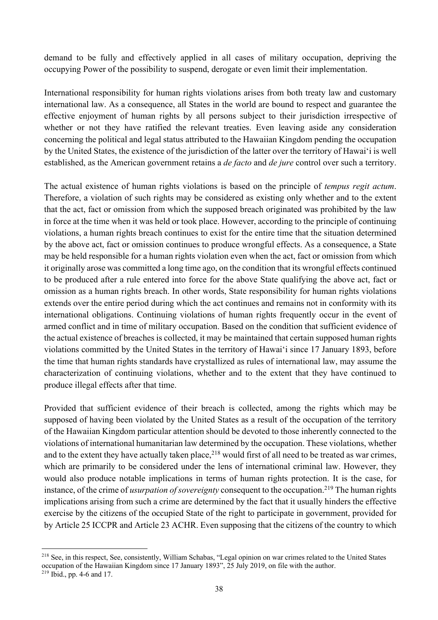demand to be fully and effectively applied in all cases of military occupation, depriving the occupying Power of the possibility to suspend, derogate or even limit their implementation.

International responsibility for human rights violations arises from both treaty law and customary international law. As a consequence, all States in the world are bound to respect and guarantee the effective enjoyment of human rights by all persons subject to their jurisdiction irrespective of whether or not they have ratified the relevant treaties. Even leaving aside any consideration concerning the political and legal status attributed to the Hawaiian Kingdom pending the occupation by the United States, the existence of the jurisdiction of the latter over the territory of Hawai'i is well established, as the American government retains a *de facto* and *de jure* control over such a territory.

The actual existence of human rights violations is based on the principle of *tempus regit actum*. Therefore, a violation of such rights may be considered as existing only whether and to the extent that the act, fact or omission from which the supposed breach originated was prohibited by the law in force at the time when it was held or took place. However, according to the principle of continuing violations, a human rights breach continues to exist for the entire time that the situation determined by the above act, fact or omission continues to produce wrongful effects. As a consequence, a State may be held responsible for a human rights violation even when the act, fact or omission from which it originally arose was committed a long time ago, on the condition that its wrongful effects continued to be produced after a rule entered into force for the above State qualifying the above act, fact or omission as a human rights breach. In other words, State responsibility for human rights violations extends over the entire period during which the act continues and remains not in conformity with its international obligations. Continuing violations of human rights frequently occur in the event of armed conflict and in time of military occupation. Based on the condition that sufficient evidence of the actual existence of breaches is collected, it may be maintained that certain supposed human rights violations committed by the United States in the territory of Hawai'i since 17 January 1893, before the time that human rights standards have crystallized as rules of international law, may assume the characterization of continuing violations, whether and to the extent that they have continued to produce illegal effects after that time.

Provided that sufficient evidence of their breach is collected, among the rights which may be supposed of having been violated by the United States as a result of the occupation of the territory of the Hawaiian Kingdom particular attention should be devoted to those inherently connected to the violations of international humanitarian law determined by the occupation. These violations, whether and to the extent they have actually taken place,  $218$  would first of all need to be treated as war crimes, which are primarily to be considered under the lens of international criminal law. However, they would also produce notable implications in terms of human rights protection. It is the case, for instance, of the crime of *usurpation of sovereignty* consequent to the occupation.<sup>219</sup> The human rights implications arising from such a crime are determined by the fact that it usually hinders the effective exercise by the citizens of the occupied State of the right to participate in government, provided for by Article 25 ICCPR and Article 23 ACHR. Even supposing that the citizens of the country to which

<sup>218</sup> See, in this respect, See, consistently, William Schabas, "Legal opinion on war crimes related to the United States occupation of the Hawaiian Kingdom since 17 January 1893", 25 July 2019, on file with the author. <sup>219</sup> Ibid., pp. 4-6 and 17.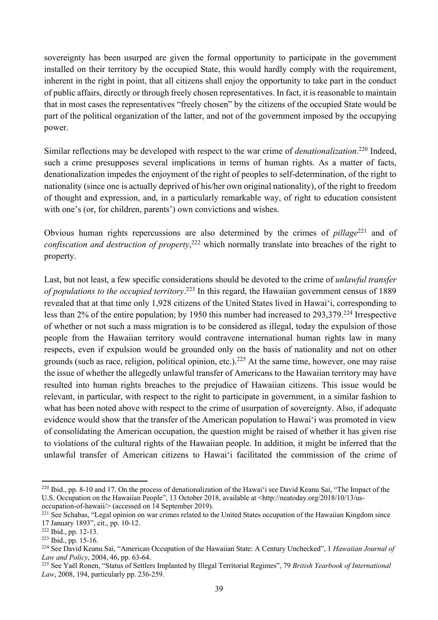sovereignty has been usurped are given the formal opportunity to participate in the government installed on their territory by the occupied State, this would hardly comply with the requirement, inherent in the right in point, that all citizens shall enjoy the opportunity to take part in the conduct of public affairs, directly or through freely chosen representatives. In fact, it is reasonable to maintain that in most cases the representatives "freely chosen" by the citizens of the occupied State would be part of the political organization of the latter, and not of the government imposed by the occupying power.

Similar reflections may be developed with respect to the war crime of *denationalization*. <sup>220</sup> Indeed, such a crime presupposes several implications in terms of human rights. As a matter of facts, denationalization impedes the enjoyment of the right of peoples to self-determination, of the right to nationality (since one is actually deprived of his/her own original nationality), of the right to freedom of thought and expression, and, in a particularly remarkable way, of right to education consistent with one's (or, for children, parents') own convictions and wishes.

Obvious human rights repercussions are also determined by the crimes of *pillage*<sup>221</sup> and of *confiscation and destruction of property*, <sup>222</sup> which normally translate into breaches of the right to property.

Last, but not least, a few specific considerations should be devoted to the crime of *unlawful transfer of populations to the occupied territory*. <sup>223</sup> In this regard, the Hawaiian government census of 1889 revealed that at that time only 1,928 citizens of the United States lived in Hawai'i, corresponding to less than 2% of the entire population; by 1950 this number had increased to 293,379.224 Irrespective of whether or not such a mass migration is to be considered as illegal, today the expulsion of those people from the Hawaiian territory would contravene international human rights law in many respects, even if expulsion would be grounded only on the basis of nationality and not on other grounds (such as race, religion, political opinion, etc.). <sup>225</sup> At the same time, however, one may raise the issue of whether the allegedly unlawful transfer of Americans to the Hawaiian territory may have resulted into human rights breaches to the prejudice of Hawaiian citizens. This issue would be relevant, in particular, with respect to the right to participate in government, in a similar fashion to what has been noted above with respect to the crime of usurpation of sovereignty. Also, if adequate evidence would show that the transfer of the American population to Hawai'i was promoted in view of consolidating the American occupation, the question might be raised of whether it has given rise to violations of the cultural rights of the Hawaiian people. In addition, it might be inferred that the unlawful transfer of American citizens to Hawai'i facilitated the commission of the crime of

<sup>&</sup>lt;sup>220</sup> Ibid., pp. 8-10 and 17. On the process of denationalization of the Hawai'i see David Keanu Sai, "The Impact of the U.S. Occupation on the Hawaiian People", 13 October 2018, available at <http://neatoday.org/2018/10/13/usoccupation-of-hawaii/> (accessed on 14 September 2019).

<sup>&</sup>lt;sup>221</sup> See Schabas, "Legal opinion on war crimes related to the United States occupation of the Hawaiian Kingdom since 17 January 1893", cit., pp. 10-12.

<sup>222</sup> Ibid., pp. 12-13.

 $223$  Ibid., pp. 15-16.

<sup>224</sup> See David Keanu Sai, "American Occupation of the Hawaiian State: A Century Unchecked", 1 *Hawaiian Journal of Law and Policy*, 2004, 46, pp. 63-64.

<sup>225</sup> See Yaël Ronen, "Status of Settlers Implanted by Illegal Territorial Regimes", 79 *British Yearbook of International Law*, 2008, 194, particularly pp. 236-259.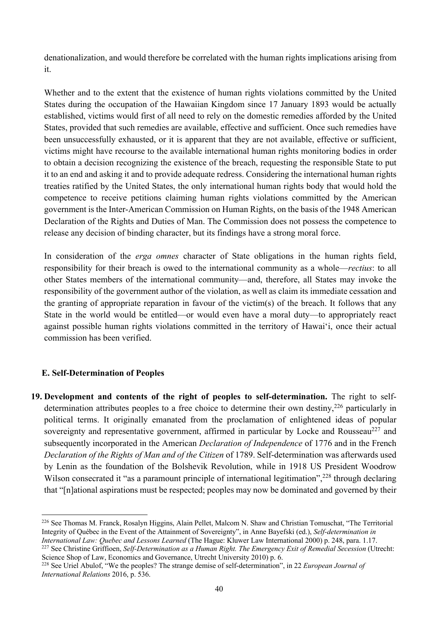denationalization, and would therefore be correlated with the human rights implications arising from it.

Whether and to the extent that the existence of human rights violations committed by the United States during the occupation of the Hawaiian Kingdom since 17 January 1893 would be actually established, victims would first of all need to rely on the domestic remedies afforded by the United States, provided that such remedies are available, effective and sufficient. Once such remedies have been unsuccessfully exhausted, or it is apparent that they are not available, effective or sufficient, victims might have recourse to the available international human rights monitoring bodies in order to obtain a decision recognizing the existence of the breach, requesting the responsible State to put it to an end and asking it and to provide adequate redress. Considering the international human rights treaties ratified by the United States, the only international human rights body that would hold the competence to receive petitions claiming human rights violations committed by the American government is the Inter-American Commission on Human Rights, on the basis of the 1948 American Declaration of the Rights and Duties of Man. The Commission does not possess the competence to release any decision of binding character, but its findings have a strong moral force.

In consideration of the *erga omnes* character of State obligations in the human rights field, responsibility for their breach is owed to the international community as a whole—*rectius*: to all other States members of the international community—and, therefore, all States may invoke the responsibility of the government author of the violation, as well as claim its immediate cessation and the granting of appropriate reparation in favour of the victim(s) of the breach. It follows that any State in the world would be entitled—or would even have a moral duty—to appropriately react against possible human rights violations committed in the territory of Hawai'i, once their actual commission has been verified.

### **E. Self-Determination of Peoples**

**19. Development and contents of the right of peoples to self-determination.** The right to selfdetermination attributes peoples to a free choice to determine their own destiny,<sup>226</sup> particularly in political terms. It originally emanated from the proclamation of enlightened ideas of popular sovereignty and representative government, affirmed in particular by Locke and Rousseau<sup>227</sup> and subsequently incorporated in the American *Declaration of Independence* of 1776 and in the French *Declaration of the Rights of Man and of the Citizen* of 1789. Self-determination was afterwards used by Lenin as the foundation of the Bolshevik Revolution, while in 1918 US President Woodrow Wilson consecrated it "as a paramount principle of international legitimation",<sup>228</sup> through declaring that "[n]ational aspirations must be respected; peoples may now be dominated and governed by their

<sup>&</sup>lt;sup>226</sup> See Thomas M. Franck, Rosalyn Higgins, Alain Pellet, Malcom N. Shaw and Christian Tomuschat, "The Territorial Integrity of Québec in the Event of the Attainment of Sovereignty", in Anne Bayefski (ed.), *Self-determination in International Law: Quebec and Lessons Learned* (The Hague: Kluwer Law International 2000) p. 248, para. 1.17.

<sup>227</sup> See Christine Griffioen, *Self-Determination as a Human Right. The Emergency Exit of Remedial Secession* (Utrecht: Science Shop of Law, Economics and Governance, Utrecht University 2010) p. 6.

<sup>228</sup> See Uriel Abulof, "We the peoples? The strange demise of self-determination", in 22 *European Journal of International Relations* 2016, p. 536.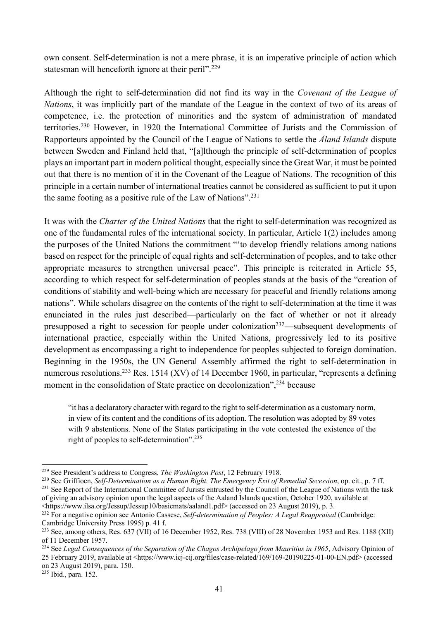own consent. Self-determination is not a mere phrase, it is an imperative principle of action which statesman will henceforth ignore at their peril".<sup>229</sup>

Although the right to self-determination did not find its way in the *Covenant of the League of Nations*, it was implicitly part of the mandate of the League in the context of two of its areas of competence, i.e. the protection of minorities and the system of administration of mandated territories.230 However, in 1920 the International Committee of Jurists and the Commission of Rapporteurs appointed by the Council of the League of Nations to settle the *Åland Islands* dispute between Sweden and Finland held that, "[a]lthough the principle of self-determination of peoples plays an important part in modern political thought, especially since the Great War, it must be pointed out that there is no mention of it in the Covenant of the League of Nations. The recognition of this principle in a certain number of international treaties cannot be considered as sufficient to put it upon the same footing as a positive rule of the Law of Nations".<sup>231</sup>

It was with the *Charter of the United Nations* that the right to self-determination was recognized as one of the fundamental rules of the international society. In particular, Article 1(2) includes among the purposes of the United Nations the commitment "'to develop friendly relations among nations based on respect for the principle of equal rights and self-determination of peoples, and to take other appropriate measures to strengthen universal peace". This principle is reiterated in Article 55, according to which respect for self-determination of peoples stands at the basis of the "creation of conditions of stability and well-being which are necessary for peaceful and friendly relations among nations". While scholars disagree on the contents of the right to self-determination at the time it was enunciated in the rules just described—particularly on the fact of whether or not it already presupposed a right to secession for people under colonization<sup>232</sup>—subsequent developments of international practice, especially within the United Nations, progressively led to its positive development as encompassing a right to independence for peoples subjected to foreign domination. Beginning in the 1950s, the UN General Assembly affirmed the right to self-determination in numerous resolutions.<sup>233</sup> Res. 1514 (XV) of 14 December 1960, in particular, "represents a defining moment in the consolidation of State practice on decolonization",<sup>234</sup> because

"it has a declaratory character with regard to the right to self-determination as a customary norm, in view of its content and the conditions of its adoption. The resolution was adopted by 89 votes with 9 abstentions. None of the States participating in the vote contested the existence of the right of peoples to self-determination".235

<sup>229</sup> See President's address to Congress, *The Washington Post*, 12 February 1918.

<sup>230</sup> See Griffioen, *Self-Determination as a Human Right. The Emergency Exit of Remedial Secession*, op. cit., p. 7 ff. <sup>231</sup> See Report of the International Committee of Jurists entrusted by the Council of the League of Nations with the task of giving an advisory opinion upon the legal aspects of the Aaland Islands question, October 1920, available at

<sup>&</sup>lt;https://www.ilsa.org/Jessup/Jessup10/basicmats/aaland1.pdf> (accessed on 23 August 2019), p. 3. 232 For a negative opinion see Antonio Cassese, *Self-determination of Peoples: A Legal Reappraisal* (Cambridge: Cambridge University Press 1995) p. 41 f.

<sup>&</sup>lt;sup>233</sup> See, among others, Res. 637 (VII) of 16 December 1952, Res. 738 (VIII) of 28 November 1953 and Res. 1188 (XII) of 11 December 1957.

<sup>&</sup>lt;sup>234</sup> See *Legal Consequences of the Separation of the Chagos Archipelago from Mauritius in 1965*, Advisory Opinion of 25 February 2019, available at <https://www.icj-cij.org/files/case-related/169/169-20190225-01-00-EN.pdf> (accessed on 23 August 2019), para. 150.

<sup>235</sup> Ibid., para. 152.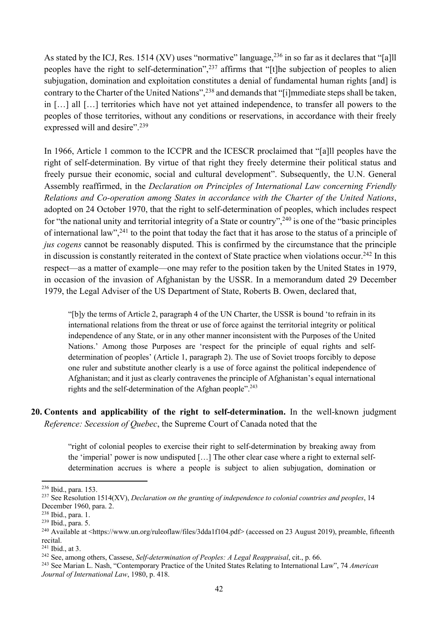As stated by the ICJ, Res. 1514 (XV) uses "normative" language,  $^{236}$  in so far as it declares that "[a]ll peoples have the right to self-determination",<sup>237</sup> affirms that "[t]he subjection of peoples to alien subjugation, domination and exploitation constitutes a denial of fundamental human rights [and] is contrary to the Charter of the United Nations",238 and demands that "[i]mmediate steps shall be taken, in […] all […] territories which have not yet attained independence, to transfer all powers to the peoples of those territories, without any conditions or reservations, in accordance with their freely expressed will and desire".<sup>239</sup>

In 1966, Article 1 common to the ICCPR and the ICESCR proclaimed that "[a]ll peoples have the right of self-determination. By virtue of that right they freely determine their political status and freely pursue their economic, social and cultural development". Subsequently, the U.N. General Assembly reaffirmed, in the *Declaration on Principles of International Law concerning Friendly Relations and Co-operation among States in accordance with the Charter of the United Nations*, adopted on 24 October 1970, that the right to self-determination of peoples, which includes respect for "the national unity and territorial integrity of a State or country",240 is one of the "basic principles of international law",241 to the point that today the fact that it has arose to the status of a principle of *jus cogens* cannot be reasonably disputed. This is confirmed by the circumstance that the principle in discussion is constantly reiterated in the context of State practice when violations occur.<sup>242</sup> In this respect—as a matter of example—one may refer to the position taken by the United States in 1979, in occasion of the invasion of Afghanistan by the USSR. In a memorandum dated 29 December 1979, the Legal Adviser of the US Department of State, Roberts B. Owen, declared that,

"[b]y the terms of Article 2, paragraph 4 of the UN Charter, the USSR is bound 'to refrain in its international relations from the threat or use of force against the territorial integrity or political independence of any State, or in any other manner inconsistent with the Purposes of the United Nations.' Among those Purposes are 'respect for the principle of equal rights and selfdetermination of peoples' (Article 1, paragraph 2). The use of Soviet troops forcibly to depose one ruler and substitute another clearly is a use of force against the political independence of Afghanistan; and it just as clearly contravenes the principle of Afghanistan's equal international rights and the self-determination of the Afghan people".<sup>243</sup>

### **20. Contents and applicability of the right to self-determination.** In the well-known judgment *Reference: Secession of Quebec*, the Supreme Court of Canada noted that the

"right of colonial peoples to exercise their right to self-determination by breaking away from the 'imperial' power is now undisputed […] The other clear case where a right to external selfdetermination accrues is where a people is subject to alien subjugation, domination or

<sup>236</sup> Ibid., para. 153.

<sup>&</sup>lt;sup>237</sup> See Resolution 1514(XV), *Declaration on the granting of independence to colonial countries and peoples*, 14 December 1960, para. 2.

<sup>238</sup> Ibid., para. 1.

<sup>239</sup> Ibid., para. 5.

<sup>240</sup> Available at <https://www.un.org/ruleoflaw/files/3dda1f104.pdf> (accessed on 23 August 2019), preamble, fifteenth recital.

<sup>241</sup> Ibid., at 3.

<sup>242</sup> See, among others, Cassese, *Self-determination of Peoples: A Legal Reappraisal*, cit., p. 66.

<sup>243</sup> See Marian L. Nash, "Contemporary Practice of the United States Relating to International Law", 74 *American Journal of International Law*, 1980, p. 418.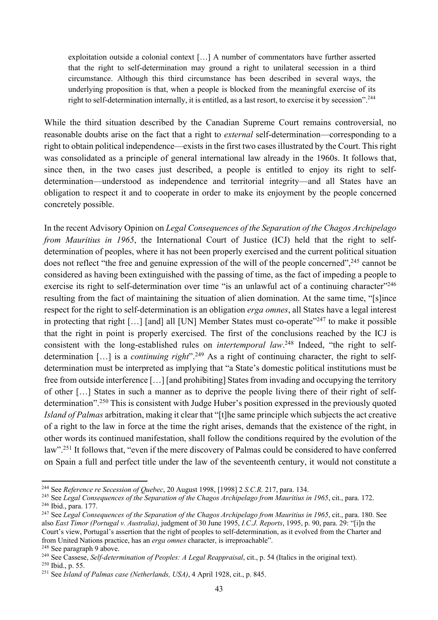exploitation outside a colonial context […] A number of commentators have further asserted that the right to self-determination may ground a right to unilateral secession in a third circumstance. Although this third circumstance has been described in several ways, the underlying proposition is that, when a people is blocked from the meaningful exercise of its right to self-determination internally, it is entitled, as a last resort, to exercise it by secession".<sup>244</sup>

While the third situation described by the Canadian Supreme Court remains controversial, no reasonable doubts arise on the fact that a right to *external* self-determination—corresponding to a right to obtain political independence—exists in the first two cases illustrated by the Court. This right was consolidated as a principle of general international law already in the 1960s. It follows that, since then, in the two cases just described, a people is entitled to enjoy its right to selfdetermination—understood as independence and territorial integrity—and all States have an obligation to respect it and to cooperate in order to make its enjoyment by the people concerned concretely possible.

In the recent Advisory Opinion on *Legal Consequences of the Separation of the Chagos Archipelago from Mauritius in 1965*, the International Court of Justice (ICJ) held that the right to selfdetermination of peoples, where it has not been properly exercised and the current political situation does not reflect "the free and genuine expression of the will of the people concerned",<sup>245</sup> cannot be considered as having been extinguished with the passing of time, as the fact of impeding a people to exercise its right to self-determination over time "is an unlawful act of a continuing character"<sup>246</sup> resulting from the fact of maintaining the situation of alien domination. At the same time, "[s]ince respect for the right to self-determination is an obligation *erga omnes*, all States have a legal interest in protecting that right  $[...]$  [and] all [UN] Member States must co-operate<sup> $247$ </sup> to make it possible that the right in point is properly exercised. The first of the conclusions reached by the ICJ is consistent with the long-established rules on *intertemporal law*. <sup>248</sup> Indeed, "the right to selfdetermination […] is a *continuing right*". <sup>249</sup> As a right of continuing character, the right to selfdetermination must be interpreted as implying that "a State's domestic political institutions must be free from outside interference […] [and prohibiting] States from invading and occupying the territory of other […] States in such a manner as to deprive the people living there of their right of selfdetermination".250 This is consistent with Judge Huber's position expressed in the previously quoted *Island of Palmas* arbitration, making it clear that "[t]he same principle which subjects the act creative of a right to the law in force at the time the right arises, demands that the existence of the right, in other words its continued manifestation, shall follow the conditions required by the evolution of the law".251 It follows that, "even if the mere discovery of Palmas could be considered to have conferred on Spain a full and perfect title under the law of the seventeenth century, it would not constitute a

<sup>244</sup> See *Reference re Secession of Quebec*, 20 August 1998, [1998] 2 *S.C.R.* 217, para. 134.

<sup>&</sup>lt;sup>245</sup> See *Legal Consequences of the Separation of the Chagos Archipelago from Mauritius in 1965*, cit., para. 172. <sup>246</sup> Ibid., para. 177.

<sup>&</sup>lt;sup>247</sup> See *Legal Consequences of the Separation of the Chagos Archipelago from Mauritius in 1965*, cit., para. 180. See also *East Timor (Portugal v. Australia)*, judgment of 30 June 1995, *I.C.J. Reports*, 1995, p. 90, para. 29: "[i]n the Court's view, Portugal's assertion that the right of peoples to self-determination, as it evolved from the Charter and from United Nations practice, has an *erga omnes* character, is irreproachable".

<sup>248</sup> See paragraph 9 above.

<sup>249</sup> See Cassese, *Self-determination of Peoples: A Legal Reappraisal*, cit., p. 54 (Italics in the original text).

<sup>250</sup> Ibid., p. 55.

<sup>251</sup> See *Island of Palmas case (Netherlands, USA)*, 4 April 1928, cit., p. 845.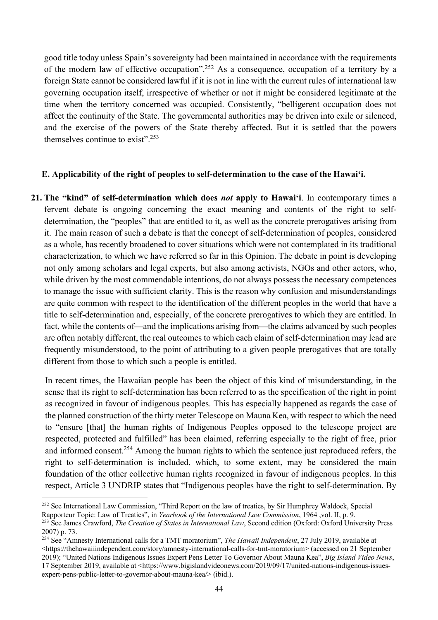good title today unless Spain's sovereignty had been maintained in accordance with the requirements of the modern law of effective occupation".252 As a consequence, occupation of a territory by a foreign State cannot be considered lawful if it is not in line with the current rules of international law governing occupation itself, irrespective of whether or not it might be considered legitimate at the time when the territory concerned was occupied. Consistently, "belligerent occupation does not affect the continuity of the State. The governmental authorities may be driven into exile or silenced, and the exercise of the powers of the State thereby affected. But it is settled that the powers themselves continue to exist".<sup>253</sup>

### **E. Applicability of the right of peoples to self-determination to the case of the Hawai'i.**

**21. The "kind" of self-determination which does** *not* **apply to Hawai'i**. In contemporary times a fervent debate is ongoing concerning the exact meaning and contents of the right to selfdetermination, the "peoples" that are entitled to it, as well as the concrete prerogatives arising from it. The main reason of such a debate is that the concept of self-determination of peoples, considered as a whole, has recently broadened to cover situations which were not contemplated in its traditional characterization, to which we have referred so far in this Opinion. The debate in point is developing not only among scholars and legal experts, but also among activists, NGOs and other actors, who, while driven by the most commendable intentions, do not always possess the necessary competences to manage the issue with sufficient clarity. This is the reason why confusion and misunderstandings are quite common with respect to the identification of the different peoples in the world that have a title to self-determination and, especially, of the concrete prerogatives to which they are entitled. In fact, while the contents of—and the implications arising from—the claims advanced by such peoples are often notably different, the real outcomes to which each claim of self-determination may lead are frequently misunderstood, to the point of attributing to a given people prerogatives that are totally different from those to which such a people is entitled.

In recent times, the Hawaiian people has been the object of this kind of misunderstanding, in the sense that its right to self-determination has been referred to as the specification of the right in point as recognized in favour of indigenous peoples. This has especially happened as regards the case of the planned construction of the thirty meter Telescope on Mauna Kea, with respect to which the need to "ensure [that] the human rights of Indigenous Peoples opposed to the telescope project are respected, protected and fulfilled" has been claimed, referring especially to the right of free, prior and informed consent.254 Among the human rights to which the sentence just reproduced refers, the right to self-determination is included, which, to some extent, may be considered the main foundation of the other collective human rights recognized in favour of indigenous peoples. In this respect, Article 3 UNDRIP states that "Indigenous peoples have the right to self-determination. By

<sup>&</sup>lt;sup>252</sup> See International Law Commission, "Third Report on the law of treaties, by Sir Humphrey Waldock, Special

Rapporteur Topic: Law of Treaties", in *Yearbook of the International Law Commission*, 1964 ,vol. II, p. 9.

<sup>&</sup>lt;sup>253</sup> See James Crawford, *The Creation of States in International Law*, Second edition (Oxford: Oxford University Press 2007) p. 73.

<sup>254</sup> See "Amnesty International calls for a TMT moratorium", *The Hawaii Independent*, 27 July 2019, available at <https://thehawaiiindependent.com/story/amnesty-international-calls-for-tmt-moratorium> (accessed on 21 September 2019); "United Nations Indigenous Issues Expert Pens Letter To Governor About Mauna Kea", *Big Island Video News*, 17 September 2019, available at <https://www.bigislandvideonews.com/2019/09/17/united-nations-indigenous-issuesexpert-pens-public-letter-to-governor-about-mauna-kea/> (ibid.).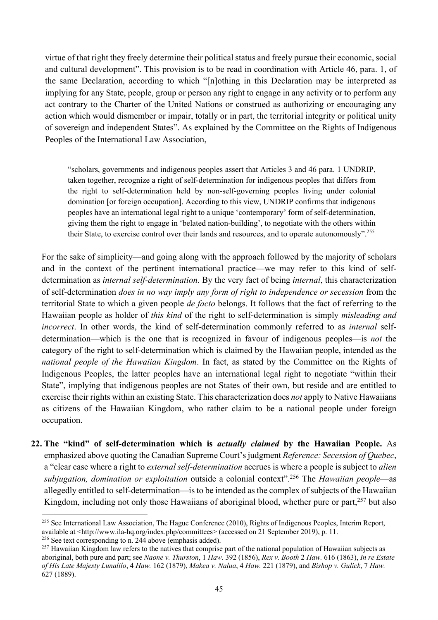virtue of that right they freely determine their political status and freely pursue their economic, social and cultural development". This provision is to be read in coordination with Article 46, para. 1, of the same Declaration, according to which "[n]othing in this Declaration may be interpreted as implying for any State, people, group or person any right to engage in any activity or to perform any act contrary to the Charter of the United Nations or construed as authorizing or encouraging any action which would dismember or impair, totally or in part, the territorial integrity or political unity of sovereign and independent States". As explained by the Committee on the Rights of Indigenous Peoples of the International Law Association,

"scholars, governments and indigenous peoples assert that Articles 3 and 46 para. 1 UNDRIP, taken together, recognize a right of self-determination for indigenous peoples that differs from the right to self-determination held by non-self-governing peoples living under colonial domination [or foreign occupation]. According to this view, UNDRIP confirms that indigenous peoples have an international legal right to a unique 'contemporary' form of self-determination, giving them the right to engage in 'belated nation-building', to negotiate with the others within their State, to exercise control over their lands and resources, and to operate autonomously".255

For the sake of simplicity—and going along with the approach followed by the majority of scholars and in the context of the pertinent international practice—we may refer to this kind of selfdetermination as *internal self-determination*. By the very fact of being *internal*, this characterization of self-determination *does in no way imply any form of right to independence or secession* from the territorial State to which a given people *de facto* belongs. It follows that the fact of referring to the Hawaiian people as holder of *this kind* of the right to self-determination is simply *misleading and incorrect*. In other words, the kind of self-determination commonly referred to as *internal* selfdetermination—which is the one that is recognized in favour of indigenous peoples—is *not* the category of the right to self-determination which is claimed by the Hawaiian people, intended as the *national people of the Hawaiian Kingdom*. In fact, as stated by the Committee on the Rights of Indigenous Peoples, the latter peoples have an international legal right to negotiate "within their State", implying that indigenous peoples are not States of their own, but reside and are entitled to exercise their rights within an existing State. This characterization does *not* apply to Native Hawaiians as citizens of the Hawaiian Kingdom, who rather claim to be a national people under foreign occupation.

**22. The "kind" of self-determination which is** *actually claimed* **by the Hawaiian People.** As emphasized above quoting the Canadian Supreme Court's judgment *Reference: Secession of Quebec*, a "clear case where a right to *external self-determination* accrues is where a people is subject to *alien subjugation, domination or exploitation* outside a colonial context".256 The *Hawaiian people*—as allegedly entitled to self-determination—is to be intended as the complex of subjects of the Hawaiian Kingdom, including not only those Hawaiians of aboriginal blood, whether pure or part,<sup>257</sup> but also

<sup>&</sup>lt;sup>255</sup> See International Law Association, The Hague Conference (2010), Rights of Indigenous Peoples, Interim Report, available at <http://www.ila-hq.org/index.php/committees> (accessed on 21 September 2019), p. 11. <sup>256</sup> See text corresponding to n. 244 above (emphasis added).

<sup>&</sup>lt;sup>257</sup> Hawaiian Kingdom law refers to the natives that comprise part of the national population of Hawaiian subjects as aboriginal, both pure and part; see *Naone v. Thurston*, 1 *Haw.* 392 (1856), *Rex v. Booth* 2 *Haw.* 616 (1863), *In re Estate of His Late Majesty Lunalilo*, 4 *Haw.* 162 (1879), *Makea v. Nalua*, 4 *Haw.* 221 (1879), and *Bishop v. Gulick*, 7 *Haw.* 627 (1889).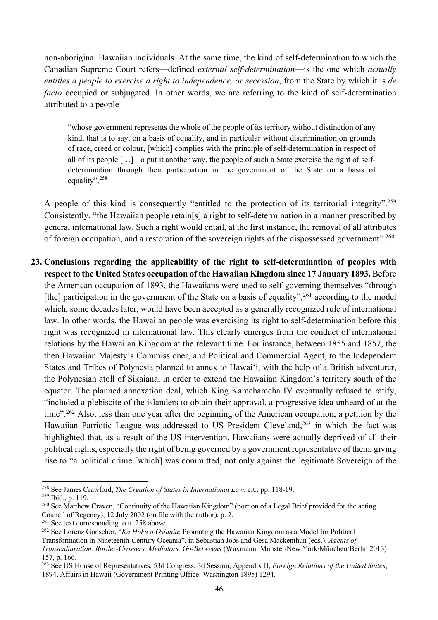non-aboriginal Hawaiian individuals. At the same time, the kind of self-determination to which the Canadian Supreme Court refers—defined *external self-determination*—is the one which *actually entitles a people to exercise a right to independence, or secession*, from the State by which it is *de facto* occupied or subjugated. In other words, we are referring to the kind of self-determination attributed to a people

"whose government represents the whole of the people of its territory without distinction of any kind, that is to say, on a basis of equality, and in particular without discrimination on grounds of race, creed or colour, [which] complies with the principle of self-determination in respect of all of its people […] To put it another way, the people of such a State exercise the right of selfdetermination through their participation in the government of the State on a basis of equality".<sup>258</sup>

A people of this kind is consequently "entitled to the protection of its territorial integrity".259 Consistently, "the Hawaiian people retain[s] a right to self-determination in a manner prescribed by general international law. Such a right would entail, at the first instance, the removal of all attributes of foreign occupation, and a restoration of the sovereign rights of the dispossessed government".<sup>260</sup>

**23. Conclusions regarding the applicability of the right to self-determination of peoples with respect to the United States occupation of the Hawaiian Kingdom since 17 January 1893.** Before the American occupation of 1893, the Hawaiians were used to self-governing themselves "through [the] participation in the government of the State on a basis of equality",  $261$  according to the model which, some decades later, would have been accepted as a generally recognized rule of international law. In other words, the Hawaiian people was exercising its right to self-determination before this right was recognized in international law. This clearly emerges from the conduct of international relations by the Hawaiian Kingdom at the relevant time. For instance, between 1855 and 1857, the then Hawaiian Majesty's Commissioner, and Political and Commercial Agent, to the Independent States and Tribes of Polynesia planned to annex to Hawai'i, with the help of a British adventurer, the Polynesian atoll of Sikaiana, in order to extend the Hawaiian Kingdom's territory south of the equator. The planned annexation deal, which King Kamehameha IV eventually refused to ratify, "included a plebiscite of the islanders to obtain their approval, a progressive idea unheard of at the time"<sup>262</sup> Also, less than one year after the beginning of the American occupation, a petition by the Hawaiian Patriotic League was addressed to US President Cleveland,<sup>263</sup> in which the fact was highlighted that, as a result of the US intervention, Hawaiians were actually deprived of all their political rights, especially the right of being governed by a government representative of them, giving rise to "a political crime [which] was committed, not only against the legitimate Sovereign of the

<sup>258</sup> See James Crawford, *The Creation of States in International Law*, cit., pp. 118-19.

<sup>259</sup> Ibid., p. 119.

<sup>&</sup>lt;sup>260</sup> See Matthew Craven, "Continuity of the Hawaiian Kingdom" (portion of a Legal Brief provided for the acting Council of Regency), 12 July 2002 (on file with the author), p. 2.

<sup>&</sup>lt;sup>261</sup> See text corresponding to n. 258 above.

<sup>262</sup> See Lorenz Gonschor, "*Ka Hoku o Osiania*: Promoting the Hawaiian Kingdom as a Model for Political Transformation in Nineteenth-Century Oceania", in Sebastian Jobs and Gesa Mackenthun (eds.), *Agents of Transculturation. Border-Crossers, Mediators, Go-Betweens* (Waxmann: Munster/New York/München/Berlin 2013) 157, p. 166.

<sup>263</sup> See US House of Representatives, 53d Congress, 3d Session, Appendix II, *Foreign Relations of the United States*, 1894, Affairs in Hawaii (Government Printing Office: Washington 1895) 1294.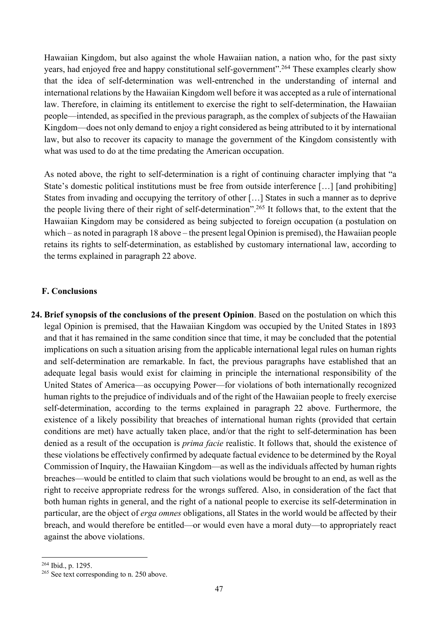Hawaiian Kingdom, but also against the whole Hawaiian nation, a nation who, for the past sixty years, had enjoyed free and happy constitutional self-government". <sup>264</sup> These examples clearly show that the idea of self-determination was well-entrenched in the understanding of internal and international relations by the Hawaiian Kingdom well before it was accepted as a rule of international law. Therefore, in claiming its entitlement to exercise the right to self-determination, the Hawaiian people—intended, as specified in the previous paragraph, as the complex of subjects of the Hawaiian Kingdom—does not only demand to enjoy a right considered as being attributed to it by international law, but also to recover its capacity to manage the government of the Kingdom consistently with what was used to do at the time predating the American occupation.

As noted above, the right to self-determination is a right of continuing character implying that "a State's domestic political institutions must be free from outside interference […] [and prohibiting] States from invading and occupying the territory of other […] States in such a manner as to deprive the people living there of their right of self-determination". <sup>265</sup> It follows that, to the extent that the Hawaiian Kingdom may be considered as being subjected to foreign occupation (a postulation on which – as noted in paragraph 18 above – the present legal Opinion is premised), the Hawaiian people retains its rights to self-determination, as established by customary international law, according to the terms explained in paragraph 22 above.

### **F. Conclusions**

**24. Brief synopsis of the conclusions of the present Opinion**. Based on the postulation on which this legal Opinion is premised, that the Hawaiian Kingdom was occupied by the United States in 1893 and that it has remained in the same condition since that time, it may be concluded that the potential implications on such a situation arising from the applicable international legal rules on human rights and self-determination are remarkable. In fact, the previous paragraphs have established that an adequate legal basis would exist for claiming in principle the international responsibility of the United States of America—as occupying Power—for violations of both internationally recognized human rights to the prejudice of individuals and of the right of the Hawaiian people to freely exercise self-determination, according to the terms explained in paragraph 22 above. Furthermore, the existence of a likely possibility that breaches of international human rights (provided that certain conditions are met) have actually taken place, and/or that the right to self-determination has been denied as a result of the occupation is *prima facie* realistic. It follows that, should the existence of these violations be effectively confirmed by adequate factual evidence to be determined by the Royal Commission of Inquiry, the Hawaiian Kingdom—as well as the individuals affected by human rights breaches—would be entitled to claim that such violations would be brought to an end, as well as the right to receive appropriate redress for the wrongs suffered. Also, in consideration of the fact that both human rights in general, and the right of a national people to exercise its self-determination in particular, are the object of *erga omnes* obligations, all States in the world would be affected by their breach, and would therefore be entitled—or would even have a moral duty—to appropriately react against the above violations.

<sup>264</sup> Ibid., p. 1295.

<sup>&</sup>lt;sup>265</sup> See text corresponding to n. 250 above.